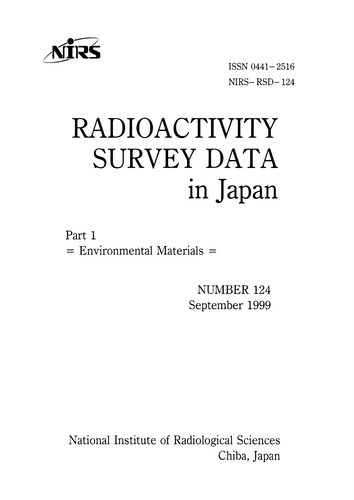

ISSNO441-2516  $NIRS - RSD - 124$ 

# RADIOACTIVITY SURVEY DATA in Japan

Part 1  $=$  Environmental Materials  $=$ 

> NUMBER 124 September 1999

National Institute of Radiological Sciences Chiba, Japan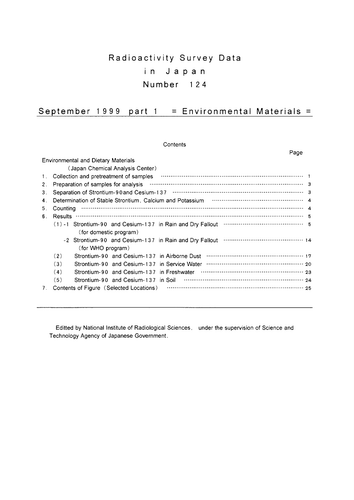# Radioactivity Survey Data in Ja p a n Number 124

| September 1999 part 1 = Environmental Materials = |
|---------------------------------------------------|
|---------------------------------------------------|

**Contents** 

|                |                                                                                                                                                   | Page |  |
|----------------|---------------------------------------------------------------------------------------------------------------------------------------------------|------|--|
|                | <b>Environmental and Dietary Materials</b>                                                                                                        |      |  |
|                | (Japan Chemical Analysis Center)                                                                                                                  |      |  |
| 1.             | Collection and pretreatment of samples <b>COLLECTION</b> 1                                                                                        |      |  |
| 2 <sub>1</sub> | Preparation of samples for analysis manufactured contain and a statement of samples for analysis manufactured and a statement of samples $\sim$ 3 |      |  |
| 3.             |                                                                                                                                                   |      |  |
| 4.             | Determination of Stable Strontium, Calcium and Potassium material content control and A                                                           |      |  |
| 5.             |                                                                                                                                                   |      |  |
| 6.             |                                                                                                                                                   |      |  |
|                |                                                                                                                                                   |      |  |
|                | (for domestic program)                                                                                                                            |      |  |
|                |                                                                                                                                                   |      |  |
|                | (for WHO program)                                                                                                                                 |      |  |
|                | (2)                                                                                                                                               |      |  |
|                | (3)                                                                                                                                               |      |  |
|                | (4)                                                                                                                                               |      |  |
|                | (5)                                                                                                                                               |      |  |
| 7.             | Contents of Figure (Selected Locations)                                                                                                           |      |  |
|                |                                                                                                                                                   |      |  |
|                |                                                                                                                                                   |      |  |

Editted by National Institute of Radiological Sciences, under the supervision of Science and Technology Agency of Japanese Government.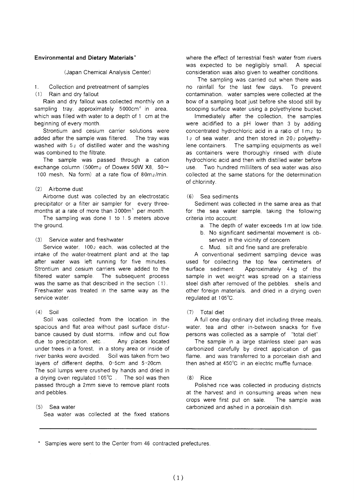#### **Environmental and Dietary Materials'**

(Japan Chemical Analysis Center)

- $\mathbf{1}$ Collection and pretreatment of samples
- (1) Rain and dry fallout

Rain and dry fallout was collected monthly on a sampling tray, approximately 5000cm<sup>2</sup> in area. which was filled with water to a depth of 1 cm at the beginning of every month.

Strontium and cesium carrier solutions were added after the sample was filtered. The tray was washed with  $5\varrho$  of distilled water and the washing was combined to the filtrate.

The sample was passed through a cation exchange column (500m<sub>o</sub> of Dowex 50W X8, 50 $\sim$ 100 mesh. Na form) at a rate flow of  $80 \text{m}$ e/min.

#### $(2)$  Airborne dust

Airborne dust was collected by an electrostatic precipitator or a filter air sampler for every threemonths at a rate of more than 3000m<sup>3</sup> per month.

The sampling was done 1 to 1.5 meters above the around.

#### (3) Service water and freshwater

Service water. 100<sub>0</sub> each. was collected at the intake of the water-treatment plant and at the tap after water was left running for five minutes. Strontium and cesium carriers were added to the filtered water sample. The subsequent process was the same as that described in the section (1). Freshwater was treated in the same way as the service water.

#### $(4)$  Soil

Soil was collected from the location in the spacious and flat area without past surface disturbance caused by dust storms, inflow and out flow due to precipitation, etc... Any places located under trees in a forest, in a stony area or inside of river banks were avoided. Soil was taken from two layers of different depths, 0-5cm and 5-20cm. The soil lumps were crushed by hands and dried in a drying oven regulated 105°C. The soil was then passed through a 2mm sieve to remove plant roots and pebbles.

#### $(5)$  Sea water

Sea water was collected at the fixed stations

where the effect of terrestrial fresh water from rivers was expected to be negligibly small. A special consideration was also given to weather conditions.

The sampling was carried out when there was no rainfall for the last few days. To prevent contamination, water samples were collected at the bow of a sampling boat just before she stood still by scooping surface water using a polvethylene bucket.

Immediately after the collection, the samples were acidified to a pH lower than 3 by adding concentrated hydrochloric acid in a ratio of 1 m<sub>g</sub> to  $1\varrho$  of sea water, and then stored in 20 $\varrho$  polyethylene containers. The sampling equipments as well as containers were thoroughly rinsed with dilute hydrochloric acid and then with distilled water before **LISA** Two hundred milliliters of sea water was also collected at the same stations for the determination of chlorinity.

#### (6) Sea sediments

Sediment was collected in the same area as that for the sea water sample, taking the following criteria into account:

- a. The depth of water exceeds 1m at low tide.
- b. No significant sedimental movement is observed in the vicinity of concern.
- c. Mud. silt and fine sand are preferable.

A conventional sediment sampling device was used for collecting the top few centimeters of Approximately 4kg of the surface sediment. sample in wet weight was spread on a stainless steel dish after removed of the pebbles. shells and other foreign materials, and dried in a drying oven requlated at 105°C.

#### (7) Total diet

A full one day ordinary diet including three meals, water, tea and other in-between snacks for five persons was collected as a sample of "total diet".

The sample in a large stainless steel pan was carbonized carefully by direct application of gas flame, and was transferred to a porcelain dish and then ashed at 450°C in an electric muffle furnace.

#### $(8)$  Rice

Polished rice was collected in producing districts at the harvest and in consuming areas when new crops were first put on sale. The sample was carbonized and ashed in a porcelain dish.

\* Samples were sent to the Center from 46 contracted prefectures.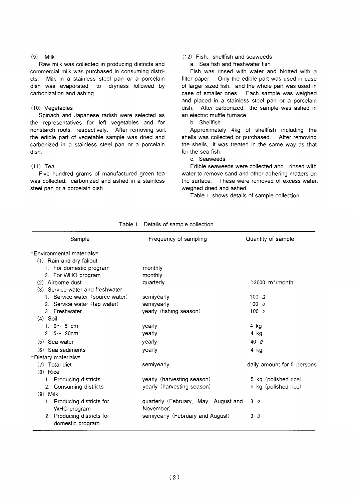#### $(9)$  Milk

Raw milk was collected in producing districts and commercial milk was purchased in consuming districts. Milk in a stainless steel pan or a porcelain dish was evaporated to dryness followed by carbonization and ashing.

#### $(10)$  Vegetables

Spinach and Japanese radish were selected as the representatives for left vegetables and for nonstarch roots, respectively. After removing soil, the edible part of vegetable sample was dried and carbonized in a stainless steel pan or a porcelain dish.

### $(11)$  Tea

Five hundred grams of manufactured green tea was collected, carbonized and ashed in a stainless steel pan or a porcelain dish.

## (12) Fish shellfish and seaweeds

a. Sea fish and freshwater fish

Fish was rinsed with water and blotted with a filter paper. Only the edible part was used in case of larger sized fish, and the whole part was used in case of smaller ones. Each sample was weighed and placed in a stainless steel pan or a porcelain After carbonized, the sample was ashed in dish an electric muffle furnace.

#### b Shellfish

Approximately 4kg of shellfish including the shells was collected or purchased. After removing the shells, it was treated in the same way as that for the sea fish.

#### c. Seaweeds

Edible seaweeds were collected and rinsed with water to remove sand and other adhering matters on the surface. These were removed of excess water, weighed dried and ashed.

Table 1 shows details of sample collection.

| Sample                                         | Frequency of sampling                             | Quantity of sample            |
|------------------------------------------------|---------------------------------------------------|-------------------------------|
| =Environmental materials=                      |                                                   |                               |
| (1) Rain and dry fallout                       |                                                   |                               |
| 1. For domestic program                        | monthly                                           |                               |
| 2. For WHO program                             | monthly                                           |                               |
| $(2)$ Airborne dust                            | quarterly                                         | $>3000$ m <sup>3</sup> /month |
| (3) Service water and freshwater               |                                                   |                               |
| 1. Service water (source water)                | semiyearly                                        | 100 $Q$                       |
| 2. Service water (tap water)                   | semiyearly                                        | 100 $Q$                       |
| 3. Freshwater                                  | yearly (fishing season)                           | $100\alpha$                   |
| $(4)$ Soil                                     |                                                   |                               |
| 1. $0 \sim 5$ cm                               | yearly                                            | $4$ kg                        |
| 2. $5 \sim 20$ cm                              | yearly                                            | 4 kg                          |
| $(5)$ Sea water                                | yearly                                            | 40 $\varrho$                  |
| (6) Sea sediments                              | yearly                                            | 4 kg                          |
| $=$ Dietary materials $=$                      |                                                   |                               |
| (7) Total diet                                 | semiyearly                                        | daily amount for 5 persons    |
| $(8)$ Rice                                     |                                                   |                               |
| 1. Producing districts                         | yearly (harvesting season)                        | 5 kg (polished rice)          |
| 2. Consuming districts                         | yearly (harvesting season)                        | 5 kg (polished rice)          |
| $(9)$ Milk                                     |                                                   |                               |
| 1. Producing districts for<br>WHO program      | quarterly (February, May, August and<br>November) | 3Q                            |
| 2. Producing districts for<br>domestic program | semiyearly (February and August)                  | 3Q                            |

### Table 1 Details of sample collection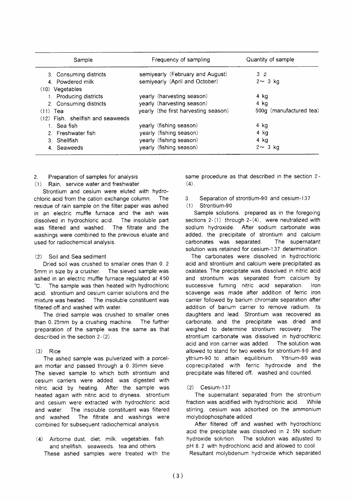| Sample                              | Frequency of sampling                | Quantity of sample      |
|-------------------------------------|--------------------------------------|-------------------------|
| 3. Consuming districts              | semiyearly (February and August)     | 3Q                      |
| 4. Powdered milk                    | semiyearly (April and October)       | $2 \sim 3$ kg           |
| $(10)$ Vegetables                   |                                      |                         |
| 1. Producing districts              | yearly (harvesting season)           | 4 kg                    |
| 2. Consuming districts              | yearly (harvesting season)           | 4 ka                    |
| $(11)$ Tea                          | yearly (the first harvesting season) | 500q (manufactured tea) |
| $(12)$ Fish, shellfish and seaweeds |                                      |                         |
| 1. Sea fish                         | yearly (fishing season)              | 4 kg                    |
| 2. Freshwater fish                  | yearly (fishing season)              | 4 ka                    |
| 3. Shellfish                        | yearly (fishing season)              | 4 kg                    |
| 4. Seaweeds                         | yearly (fishing season)              | $2 \sim 3$ kg           |

#### $2.$ Preparation of samples for analysis

Rain. service water and freshwater  $(1)$ 

Strontium and cesium were eluted with hydrochloric acid from the cation exchange column. The residue of rain sample on the filter paper was ashed in an electric muffle furnace and the ash was dissolved in hydrochloric acid. The insoluble part was filtered and washed. The filtrate and the washings were combined to the previous eluate and used for radiochemical analysis.

#### Soil and Sea sediment  $(2)$

Dried soil was crushed to smaller ones than 0.2 The sieved sample was 5mm in size by a crusher. ashed in an electric muffle furnace regulated at 450  $^{\circ}$ C The sample was then heated with hydrochloric acid. strontium and cesium carrier solutions and the mixture was heated. The insoluble constituent was filtered off and washed with water.

The dried sample was crushed to smaller ones than 0. 25mm by a crushing machine. The further preparation of the sample was the same as that described in the section  $2-(2)$ .

#### $(3)$  Rice

The ashed sample was pulverized with a porcelain mortar and passed through a 0.35mm sieve. The sieved sample to which both strontium and cesium carriers were added, was digested with nitric acid by heating. After the sample was heated again with nitric acid to dryness, strontium and cesium were extracted with hydrochloric acid The insoluble constituent was filtered and water. The filtrate and washings were and washed. combined for subsequent radiochemical analysis.

Airborne dust, diet, milk, vegetables, fish  $(4)$ and shellfish. seaweeds. tea and others These ashed samples were treated with the same procedure as that described in the section 2- $(4)$ .

#### $3<sub>1</sub>$ Separation of strontium-90 and cesium-137

#### Strontium-90  $(1)$

Sample solutions, prepared as in the foregoing sections  $2-(1)$  through  $2-(4)$ , were neutralized with sodium hydroxide. After sodium carbonate was added, the precipitate of strontium and calcium carbonates was separated. The supernatant solution was retained for cesium-137 determination.

The carbonates were dissolved in hydrochloric acid and strontium and calcium were precipitated as oxalates. The precipitate was dissolved in nitric acid and strontium was separated from calcium by successive fuming nitric acid separation. Iron scavenge was made after addition of ferric iron carrier followed by barium chromate separation after addition of barium carrier to remove radium, its daughters and lead. Strontium was recovered as carbonate, and the precipitate was dried and weighed to determine strontium recovery. The strontium carbonate was dissolved in hydrochloric acid and iron carrier was added. The solution was allowed to stand for two weeks for strontium-90 and yttrium-90 to attain equilibrium. Yttrium-90 was coprecipitated with ferric hydroxide and the precipitate was filtered off. washed and counted.

#### Cesium-137  $(2)$

The supernatant separated from the strontium fraction was acidified with hydrochloric acid. While stirring, cesium was adsorbed on the ammonium molybdophosphate added.

After filtered off and washed with hydrochloric acid the precipitate was dissolved in 2.5N sodium hydroxide solution. The solution was adjusted to pH 8.2 with hydrochloric acid and allowed to cool.

Resultant molybdenum hydroxide which separated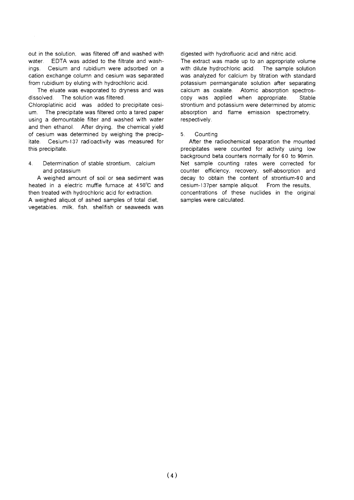out in the solution. was filtered off and washed with water. EDTA was added to the filtrate and washings. Cesium and rubidium were adsorbed on a cation exchange column and cesium was separated from rubidium by eluting with hydrochloric acid.

The eluate was evaporated to dryness and was dissolved The solution was filtered.

Chloroplatinic acid was added to precipitate cesium. The precipitate was filtered onto a tared paper using a demountable filter and washed with water and then ethanol. After drying, the chemical yield of cesium was determined by weighing the precipitate. Cesium-137 radioactivity was measured for this precipitate.

Determination of stable strontium, calcium  $4.$ and potassium

A weighed amount of soil or sea sediment was heated in a electric muffle furnace at 450°C and then treated with hydrochloric acid for extraction. A weighed aliguot of ashed samples of total diet, vegetables, milk, fish, shellfish or seaweeds was digested with hydrofluoric acid and nitric acid.

The extract was made up to an appropriate volume with dilute hydrochloric acid. The sample solution was analyzed for calcium by titration with standard potassium permanganate solution after separating calcium as oxalate. Atomic absorption spectroscopy was applied when appropriate. Stable strontium and potassium were determined by atomic absorption and flame emission spectrometry, respectively.

#### $5<sub>1</sub>$ Countina

After the radiochemical separation the mounted precipitates were counted for activity using low background beta counters normally for 60 to 90min. Net sample counting rates were corrected for counter efficiency, recovery, self-absorption and decay to obtain the content of strontium-90 and cesium-137per sample aliquot. From the results, concentrations of these nuclides in the original samples were calculated.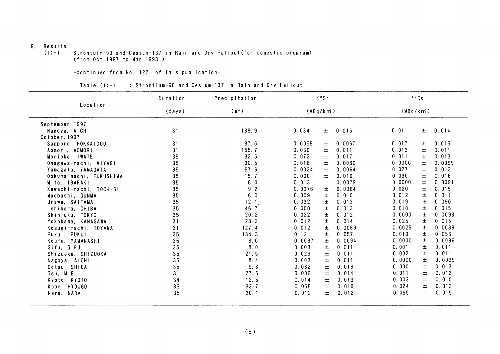#### 6. Results

Strontuim-90 and Cesium-137 in Rain and Dry Fallout (for domestic program)<br>(from Oct.1997 to Mar.1998 )  $(1) - 1$ 

-continued from No, 122 of this publication-

|                         | Duration | Precipitation |          | 90Sr  |        | 137Cs    |       |        |
|-------------------------|----------|---------------|----------|-------|--------|----------|-------|--------|
| Location                | (days)   | (mn)          | (MBq/km) |       |        | (MBq/km) |       |        |
| September, 1997         |          |               |          |       |        |          |       |        |
| Nagoya, AICHI           | 31       | 189.9         | 0.034    | 士     | 0.015  | 0.011    | $\pm$ | 0.014  |
| October, 1997           |          |               |          |       |        |          |       |        |
| Sapporo, HOKKAIDOU      | 31       | 87.5          | 0.0058   | 土     | 0.0067 | 0.017    | 土     | 0.015  |
| Aomori, AOMORI          | 31       | 155.7         | 0.030    | 土     | 0.011  | 0.013    | 士     | 0.011  |
| Morioka, IWATE          | 35       | 32.5          | 0.072    | 士     | 0.017  | 0.011    | 士     | 0.013  |
| Onagawa-machi, MIYAGI   | 35       | 30.5          | 0.016    | $\pm$ | 0.0080 | 0.0000   | 士     | 0.0099 |
| Yamagata, YAMAGATA      | 35       | 57.6          | 0.0034   | 士     | 0.0064 | 0.027    | 土     | 0.013  |
| Ookuma-machi, FUKUSHIMA | 35       | 15.7          | 0.000    | 士     | 0.010  | 0.030    | 土     | 0.016  |
| Mito. IBARAKI           | 35       | 8.0           | 0.013    | $\pm$ | 0.0079 | 0.0000   | 士     | 0.0091 |
| Kawachi-machi, TOCHIGI  | 35       | 9.2           | 0.0076   | 士     | 0.0064 | 0.020    | 士     | 0.015  |
| Maebashi, GUNMA         | 35       | 6.0           | 0.009    | 士     | 0.010  | 0.012    | 土     | 0.011  |
| Urawa, SAITAMA          | 35       | 12.1          | 0.032    | 士     | 0.013  | 0.019    | 士     | 0.090  |
| Ichihara, CHIBA         | 35       | 46.7          | 0.000    | 士     | 0.013  | 0.010    | 士     | 0.015  |
| Shinjuku, TOKYO         | 35       | 20.2          | 0.022    | $\pm$ | 0.012  | 0.0000   | 士     | 0.0098 |
| Yokohama, KANAGAWA      | 31       | 23.2          | 0.012    | 土     | 0.014  | 0.025    | 士     | 0.015  |
| Kosugi-machi, TOYAMA    | 31       | 127.4         | 0.012    | $\pm$ | 0.0069 | 0.0025   | 土     | 0.0089 |
| Fukui, FUKUI            | 35       | 184.3         | 0.12     | 土     | 0.057  | 0.019    | $\pm$ | 0.056  |
| Koufu, YAMANASHI        | 35       | 6.0           | 0.0037   | 士     | 0.0094 | 0.0000   | 土     | 0.0096 |
| Gifu, GIFU              | 35       | 8.0           | 0.003    | 士     | 0.011  | 0.001    | 士     | 0.011  |
| Shizuoka, SHIZUOKA      | 35       | 21.5          | 0.029    | 土     | 0.011  | 0.002    | $\pm$ | 0.011  |
| Nagoya, AICHI           | 35       | 8.4           | 0.003    | 士     | 0.011  | 0.0000   | $\pm$ | 0.0099 |
| Ootsu, SHIGA            | 35       | 9.6           | 0.032    | 士     | 0.016  | 0.000    | 土     | 0.013  |
| Tsu, MIE                | 31       | 27.5          | 0.006    | $\pm$ | 0.014  | 0.011    | 土     | 0.012  |
| Kyoto, KYOTO            | 34       | 12.5          | 0.014    | 士     | 0.013  | 0.003    | $\pm$ | 0.010  |
| Kobe, HYOUGO            | 33       | 33.7          | 0.058    | 士     | 0.010  | 0.024    | 士     | 0.012  |
| Nara, NARA              | 35       | 30.1          | 0.012    | 士     | 0.012  | 0.055    | 士     | 0.015  |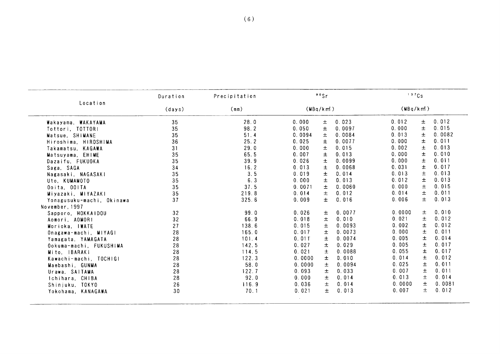|                           | Duration        | Precipitation | 90Sr            |        | 137Cs    |                 |
|---------------------------|-----------------|---------------|-----------------|--------|----------|-----------------|
| Location                  | (days)          | (mm)          | (MBq/km)        |        | (MBq/km) |                 |
| Wakayama, WAKAYAMA        | 35              | 28.0          | 0.000<br>土      | 0.023  | 0.012    | 0.012<br>土      |
| Tottori, TOTTORI          | 35              | 98.2          | 0.050<br>$\pm$  | 0.0097 | 0.000    | $\pm$<br>0.015  |
| Matsue, SHIMANE           | 35              | 51.4          | $\pm$<br>0.0094 | 0.0084 | 0.013    | 土<br>0.0082     |
| Hiroshima, HIROSHIMA      | 36              | 25.2          | 0.025<br>士      | 0.0077 | 0.000    | 0.011<br>土      |
| Takamatsu, KAGAWA         | 31              | 29.0          | 0.000<br>$\pm$  | 0.015  | 0.002    | 0.013<br>土      |
| Matsuyama, EHIME          | 35              | 65.5          | 0.007<br>$\pm$  | 0.013  | 0.000    | 0.010<br>土      |
| Dazaifu, FUKUOKA          | 35              | 39.9          | 0.026<br>$\pm$  | 0.0099 | 0.000    | 0.011<br>土      |
| Saga, SAGA                | 34              | 16.2          | $\pm$<br>0.013  | 0.0068 | 0.031    | $\pm$<br>0.017  |
| Nagasaki, NAGASAKI        | 35              | 3.5           | $\pm$<br>0.019  | 0.014  | 0.013    | $\pm$<br>0.013  |
| Uto, KUMAMOTO             | 35              | 6.3           | 0.000<br>土      | 0.013  | 0.012    | 0.013<br>士      |
| Ooita, OOITA              | 35              | 37.5          | 0.0071<br>土     | 0.0060 | 0.000    | 0.015<br>土      |
| Miyazaki, MIYAZAKI        | 35              | 219.8         | 士<br>0.014      | 0.012  | 0.014    | 0.011<br>土      |
| Yonagusuku-machi, Okinawa | 37              | 325.6         | 0.009<br>$\pm$  | 0.016  | 0.006    | 0.013<br>$\pm$  |
| November, 1997            |                 |               |                 |        |          |                 |
| Sapporo, HOKKAIDOU        | 32 <sub>2</sub> | 99.0          | 0.026<br>土      | 0.0077 | 0.0000   | 0.010<br>土      |
| Aomori, AOMORI            | 32              | 66.9          | $\pm$<br>0.018  | 0.010  | 0.021    | $\pm$<br>0.012  |
| Morioka, IWATE            | 27              | 138.6         | 0.015<br>土      | 0.0093 | 0.002    | 土<br>0.012      |
| Onagawa-machi, MIYAGI     | 28              | 165.0         | 0.017<br>土      | 0.0073 | 0.000    | 土<br>0.011      |
| Yamagata, YAMAGATA        | 28              | 101.4         | 0.011<br>$\pm$  | 0.0074 | 0.005    | $\pm$<br>0.014  |
| Ookuma-machi, FUKUSHIMA   | 28              | 142.5         | 土<br>0.027      | 0.029  | 0.005    | $\pm$<br>0.017  |
| Mito, IBARAKI             | 28              | 114.5         | $\pm$<br>0.021  | 0.0088 | 0.055    | $\pm$<br>0.017  |
| Kawachi-machi, TOCHIGI    | 28              | 122.3         | $\pm$<br>0.0000 | 0.010  | 0.014    | 土<br>0.012      |
| Maebashi, GUNMA           | 28              | 58.0          | 0.0000<br>士     | 0.0094 | 0.025    | 0.011<br>士      |
| Urawa, SAITAMA            | 28              | 122.7         | 0.093<br>$\pm$  | 0.033  | 0.007    | $\pm$<br>0.011  |
| Ichihara, CHIBA           | 28              | 92.0          | 0.000<br>士      | 0.014  | 0.013    | 土<br>0.014      |
| Shinjuku, TOKYO           | 26              | 116.9         | 0.036<br>$\pm$  | 0.014  | 0.0000   | $\pm$<br>0.0081 |
| Yokohama, KANAGAWA        | 30              | 70.1          | 0.021<br>$\pm$  | 0.013  | 0.007    | $\pm$<br>0.012  |
|                           |                 |               |                 |        |          |                 |
|                           |                 |               |                 |        |          |                 |
|                           |                 |               |                 |        |          |                 |
|                           |                 |               |                 |        |          |                 |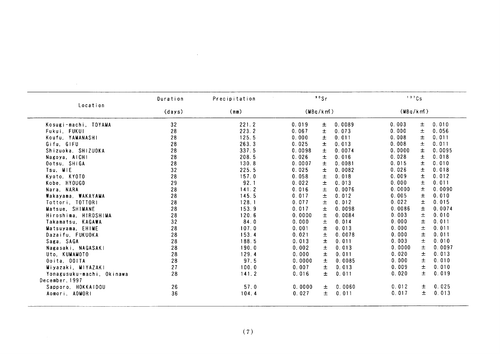| Location<br>Kosugi-machi, TOYAMA<br>Fukui, FUKUI<br>Koufu, YAMANASHI<br>Gifu, GIFU<br>Shizuoka, SHIZUOKA<br>Nagoya, AICHI<br>Ootsu, SHIGA<br>Tsu, MIE | (days)<br>32<br>28<br>28<br>28<br>28<br>28<br>28 | (mm)<br>221.2<br>223.2<br>125.5<br>263.3<br>337.5<br>208.5 | (MBq/km)<br>0.019<br>0.067<br>0.000<br>0.025<br>0.0098 | 土<br>$\pm$<br>土<br>土<br>$\pm$ | 0.0089<br>0.073<br>0.011<br>0.013 | $(MBq/km^2)$<br>0.003<br>0.000<br>0.008<br>0.008 | 土<br>$\pm$<br>士<br>土 | 0.010<br>0.056<br>0.011 |
|-------------------------------------------------------------------------------------------------------------------------------------------------------|--------------------------------------------------|------------------------------------------------------------|--------------------------------------------------------|-------------------------------|-----------------------------------|--------------------------------------------------|----------------------|-------------------------|
|                                                                                                                                                       |                                                  |                                                            |                                                        |                               |                                   |                                                  |                      |                         |
|                                                                                                                                                       |                                                  |                                                            |                                                        |                               |                                   |                                                  |                      |                         |
|                                                                                                                                                       |                                                  |                                                            |                                                        |                               |                                   |                                                  |                      |                         |
|                                                                                                                                                       |                                                  |                                                            |                                                        |                               |                                   |                                                  |                      |                         |
|                                                                                                                                                       |                                                  |                                                            |                                                        |                               |                                   |                                                  |                      | 0.011                   |
|                                                                                                                                                       |                                                  |                                                            |                                                        |                               | 0.0074                            | 0.0000                                           | $\pm$                | 0.0095                  |
|                                                                                                                                                       |                                                  |                                                            | 0.026                                                  | 土                             | 0.016                             | 0.028                                            | $\pm$                | 0.018                   |
|                                                                                                                                                       |                                                  | 130.8                                                      | 0.0007                                                 | Ŧ.                            | 0.0081                            | 0.015                                            | $\pm$                | 0.010                   |
|                                                                                                                                                       | 32                                               | 225.5                                                      | 0.025                                                  | $\pm$                         | 0.0082                            | 0.026                                            | $\pm$                | 0.018                   |
| Kyoto, KYOTO                                                                                                                                          | 28                                               | 157.0                                                      | 0.058                                                  | ±.                            | 0.018                             | 0.009                                            | 土                    | 0.012                   |
| Kobe, HYOUGO                                                                                                                                          | 29                                               | 92.1                                                       | 0.022                                                  | 土                             | 0.013                             | 0.000                                            | $\pm$                | 0.011                   |
| Nara, NARA                                                                                                                                            | 28                                               | 141.2                                                      | 0.016                                                  | $\pm$                         | 0.0076                            | 0.0000                                           | 土                    | 0.0090                  |
| Wakayama, WAKAYAMA                                                                                                                                    | 28                                               | 145.5                                                      | 0.017                                                  | $\pm$                         | 0.012                             | 0.005                                            | 土                    | 0.010                   |
| Tottori, TOTTORI                                                                                                                                      | 28                                               | 128.1                                                      | 0.077                                                  | $\pm$                         | 0.012                             | 0.022                                            | $\pm$                | 0.015                   |
| Matsue, SHIMANE                                                                                                                                       | 28                                               | 153.9                                                      | 0.017                                                  | $\pm$                         | 0.0098                            | 0.0086                                           | 土                    | 0.0074                  |
| Hiroshima, HIROSHIMA                                                                                                                                  | 28                                               | 120.6                                                      | 0.0000                                                 | $\pm$                         | 0.0084                            | 0.003                                            | $\pm$                | 0.010                   |
| Takamatsu, KAGAWA                                                                                                                                     | 32                                               | 84.0                                                       | 0.000                                                  | $\pm$                         | 0.014                             | 0.000                                            | Ŧ                    | 0.011                   |
| Matsuyama, EHIME                                                                                                                                      | 28                                               | 107.0                                                      | 0.001                                                  | 士                             | 0.013                             | 0.000                                            | 土                    | 0.011                   |
| Dazaifu, FUKUOKA                                                                                                                                      | 28                                               | 153.4                                                      | 0.021                                                  | $\pm$                         | 0.0078                            | 0.000                                            | 土                    | 0.011                   |
| Saga, SAGA                                                                                                                                            | 28                                               | 188.5                                                      | 0.013                                                  | $\pm$                         | 0.011                             | 0.003                                            | $\pm$                | 0.010                   |
| Nagasaki, NAGASAKI                                                                                                                                    | 28                                               | 190.0                                                      | 0.002                                                  | 土                             | 0.013                             | 0.0000                                           | 土                    | 0.0097                  |
| Uto, KUMAMOTO                                                                                                                                         | 28                                               | 129.4                                                      | 0.000                                                  | 土                             | 0.011                             | 0.020                                            | $\pm$                | 0.013                   |
| Ooita, OOITA                                                                                                                                          | 28                                               | 97.5                                                       | 0.0000                                                 | $\pm$                         | 0.0085                            | 0.000                                            | 士                    | 0.010                   |
| Miyazaki, MiYAZAKI                                                                                                                                    | 27                                               | 100.0                                                      | 0.007                                                  | 土                             | 0.013                             | 0.009                                            | $\pm$                | 0.010                   |
| Yonagusuku-machi, Okinawa<br>December, 1997                                                                                                           | 28                                               | 141.2                                                      | 0.016                                                  | $\pm$                         | 0.011                             | 0.020                                            | Ŧ                    | 0.019                   |
| Sapporo, HOKKAIDOU                                                                                                                                    | 26                                               | 57.0                                                       | 0.0000                                                 | $\pm$                         | 0.0060                            | 0.012                                            | 土                    | 0.025                   |
| Aomori, AOMORI                                                                                                                                        | 36                                               | 104.4                                                      | 0.027                                                  | 土                             | 0.011                             | 0.017                                            | 土                    | 0.013                   |

÷,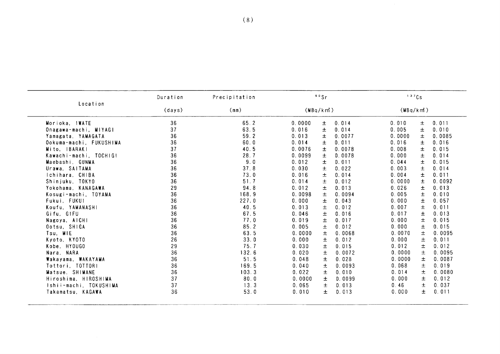|                                                                                                                                                                                 | Duration                                                 | Precipitation                                                                  | 90Sr                                                                                                                                                                                                                                                           | 137Cs                                                                                                                                                                                                                                                  |
|---------------------------------------------------------------------------------------------------------------------------------------------------------------------------------|----------------------------------------------------------|--------------------------------------------------------------------------------|----------------------------------------------------------------------------------------------------------------------------------------------------------------------------------------------------------------------------------------------------------------|--------------------------------------------------------------------------------------------------------------------------------------------------------------------------------------------------------------------------------------------------------|
| Location                                                                                                                                                                        | (days)                                                   | (mm)                                                                           | (MBq/km)                                                                                                                                                                                                                                                       | $(MBq/km^2)$                                                                                                                                                                                                                                           |
| Morioka, IWATE<br>Onagawa-machi, MIYAGI<br>Yamagata, YAMAGATA<br>Ookuma-machi, FUKUSHIMA<br>Mito, IBARAKI<br>Kawachi-machi, TOCHIG!<br>Maebashi, GUNMA<br>Urawa, SAITAMA        | 36<br>37<br>36<br>36<br>37<br>36<br>36<br>36             | 65.2<br>63.5<br>59.2<br>60.0<br>40.5<br>28.7<br>9.0<br>37.8                    | 0.014<br>0.0000<br>土<br>0.016<br>土<br>0.014<br>0.013<br>0.0077<br>土<br>$\pm$<br>0.014<br>0.011<br>0.0076<br>0.0078<br>$\pm$<br>0.0099<br>0.0078<br>$\pm$<br>0.012<br>0.011<br>土<br>0.030<br>$\pm$<br>0.022                                                     | 0.011<br>0.010<br>土<br>0.005<br>土<br>0.010<br>0.0000<br>$\pm$<br>0.0085<br>0.016<br>土<br>0.016<br>0.008<br>$\pm$<br>0.015<br>0.000<br>0.014<br>土<br>0.044<br>士<br>0.015<br>0.003<br>土<br>0.014                                                         |
| Ichihara, CHIBA<br>Shinjuku, TOKYO<br>Yokohama, KANAGAWA<br>Kosugi-machi, TOYAMA<br>Fukui, FUKU1<br>Koufu, YAMANASHI<br>Gifu, GIFU<br>Nagoya, AICHI<br>Ootsu, SHIGA<br>Tsu, MIE | 36<br>36<br>29<br>36<br>36<br>36<br>36<br>36<br>36<br>36 | 73.0<br>51.7<br>94.8<br>168.9<br>227.0<br>40.5<br>67.5<br>77.0<br>85.2<br>63.5 | 0.016<br>$\pm$<br>0.014<br>$\pm$<br>0.012<br>0.014<br>0.012<br>0.013<br>土<br>0.0098<br>0.0094<br>土<br>0.000<br>$\pm$<br>0.043<br>$\pm$<br>0.012<br>0.013<br>$\pm$<br>0.046<br>0.016<br>0.017<br>0.019<br>$\pm$<br>0.005<br>0.012<br>土<br>0.0000<br>0.0068<br>土 | 0.004<br>土<br>0.011<br>0.0000<br>$\pm$<br>0.0092<br>0.026<br>0.013<br>土<br>0.005<br>$\pm$<br>0.010<br>0.000<br>$\pm$<br>0.057<br>0.007<br>士<br>0.011<br>0.017<br>$\pm$<br>0.013<br>0.000<br>士<br>0.015<br>0.000<br>0.015<br>土<br>0.0070<br>土<br>0.0095 |
| Kyoto, KYOTO<br>Kobe, HYOUGO<br>Nara, NARA<br>Wakayama, WAKAYAMA<br>Tottori, TOTTORI<br>Matsue, SHIMANE<br>Hiroshima, HIROSHIMA<br>Ishii-machi, TOKUSHIMA<br>Takamatsu, KAGAWA  | 26<br>29<br>36<br>36<br>36<br>36<br>37<br>37<br>36       | 33.0<br>75.7<br>132.6<br>51.5<br>169.5<br>103.3<br>80.0<br>13.3<br>53.0        | 0.000<br>0.012<br>土<br>$\pm$<br>0.030<br>0.015<br>$\pm$<br>0.0072<br>0.020<br>0.048<br>0.028<br>土<br>0.040<br>土<br>0.0093<br>0.022<br>0.010<br>土<br>0.0000<br>土<br>0.0099<br>0.065<br>$\pm$<br>0.013<br>0.010<br>0.013<br>土                                    | 0.000<br>土<br>0.011<br>$\pm$<br>0.012<br>0.012<br>0.0000<br>$\pm$<br>0.0095<br>0.0000<br>0.0087<br>土<br>0.068<br>土<br>0.019<br>土<br>0.014<br>0.0080<br>土<br>0.012<br>0.000<br>$\pm$<br>0.46<br>0.037<br>士<br>0.000<br>0.011                            |
|                                                                                                                                                                                 |                                                          |                                                                                |                                                                                                                                                                                                                                                                |                                                                                                                                                                                                                                                        |
|                                                                                                                                                                                 |                                                          |                                                                                |                                                                                                                                                                                                                                                                |                                                                                                                                                                                                                                                        |
|                                                                                                                                                                                 |                                                          |                                                                                |                                                                                                                                                                                                                                                                |                                                                                                                                                                                                                                                        |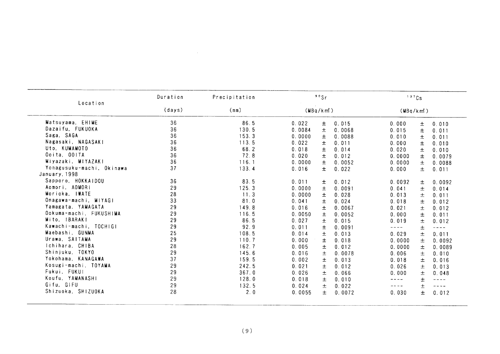|                           |        | Precipitation | 90Sr            |        | 137Cs        |        |                                                         |  |
|---------------------------|--------|---------------|-----------------|--------|--------------|--------|---------------------------------------------------------|--|
| Location                  | (days) | (mm)          | (MBq/km)        |        | $(MBq/km^2)$ |        |                                                         |  |
| Matsuyama, EHIME          | 36     | 86.5          | 0.022<br>土      | 0.015  | 0.000        | $\pm$  | 0.010                                                   |  |
| Dazaifu, FUKUOKA          | 36     | 130.5         | $\pm$<br>0.0084 | 0.0068 | 0.015        | $\pm$  | 0.011                                                   |  |
| Saga, SAGA                | 36     | 153.3         | 0.0000<br>$\pm$ | 0.0088 | 0.010        | $\pm$  | 0.011                                                   |  |
| Nagasaki, NAGASAKI        | 36     | 113.5         | 0.022<br>土      | 0.011  | 0.000        | $\pm$  | 0.010                                                   |  |
| Uto, KUMAMOTO             | 36     | 68.2          | 0.018<br>$\pm$  | 0.014  | 0.020        | $\pm$  | 0.010                                                   |  |
| Ooita, OOITA              | 36     | 72.8          | 0.020<br>士      | 0.012  | 0.0000       | 士      | 0.0079                                                  |  |
| Miyazaki, MIYAZAKI        | 36     | 116.1         | 0.0000<br>$\pm$ | 0.0052 | 0.0000       | 土      | 0.0088                                                  |  |
| Yonagusuku-machi, Okinawa | 37     | 133.4         | 0.016<br>$\pm$  | 0.022  | 0.000        | 土      | 0.011                                                   |  |
| January, 1998             |        |               |                 |        |              |        |                                                         |  |
| Sapporo, HOKKAIDOU        | 36     | 83.5          | 0.011<br>土      | 0.012  | 0.0092       |        | 0.0092                                                  |  |
| Aomori, AOMORI            | 29     | 125.3         | 0.0000<br>土     | 0.0091 | 0.041        | 土<br>土 | 0.014                                                   |  |
| Morioka, IWATE            | 28     | 11.3          | 0.0000<br>$\pm$ | 0.028  | 0.013        |        |                                                         |  |
| Onagawa-machi, MIYAGI     | 33     | 81.0          | 0.041<br>土      | 0.024  | 0.018        | 土      | 0.011                                                   |  |
| Yamagata, YAMAGATA        | 29     | 149.8         | 0.016           |        |              | 土      | 0.012                                                   |  |
| Ookuma-machi, FUKUSHIMA   | 29     | 116.5         | 士<br>0.0050     | 0.0067 | 0.021        | $\pm$  | 0.012                                                   |  |
| Mito, IBARAKI             | 29     |               | $\pm$           | 0.0052 | 0.000        | $\pm$  | 0.011                                                   |  |
| Kawachi-machi, TOCHIGI    | 29     | 86.5          | 0.027<br>$\pm$  | 0.015  | 0.019        | $\pm$  | 0.012                                                   |  |
| Maebashi, GUNMA           | 25     | 92.9          | 0.011<br>$\pm$  | 0.0091 | $---$        | 土      | $\omega = \omega/\omega$                                |  |
| Urawa, SAITAMA            |        | 108.5         | 0.014<br>$\pm$  | 0.013  | 0.029        | $\pm$  | 0.011                                                   |  |
| Ichihara, CHIBA           | 29     | 110.7         | 0.000<br>土      | 0.018  | 0.0000       | $\pm$  | 0.0092                                                  |  |
|                           | 28     | 162.7         | 0.005<br>$\pm$  | 0.012  | 0.0000       | 土      | 0.0089                                                  |  |
| Shinjuku, TOKYO           | 29     | 145.6         | 0.016<br>$\pm$  | 0.0078 | 0.006        | 士      | 0.010                                                   |  |
| Yokohama, KANAGAWA        | 37     | 159.5         | 0.002<br>土      | 0.013  | 0.018        | 土      | 0.016                                                   |  |
| Kosugi-machi, TOYAMA      | 29     | 242.5         | 0.021<br>土      | 0.012  | 0.026        | 土      | 0.013                                                   |  |
| Fukui, FUKUI              | 29     | 367.0         | 0.026<br>土      | 0.066  | 0.000        | $\pm$  | 0.048                                                   |  |
| Koufu, YAMANASHI          | 29     | 128.0         | 0.018<br>士      | 0.010  | $- + - - -$  | $\pm$  | $\rightarrow$ $\rightarrow$ $\rightarrow$ $\rightarrow$ |  |
| Gifu, GIFU                | 29     | 132.5         | 0.024<br>$\pm$  | 0.022  | ----         | 士      | $\sim$ $\sim$ $\sim$ $\sim$                             |  |
| Shizuoka, SHIZUOKA        | 28     | 2.0           | 0.0055<br>士     | 0.0072 | 0.030        | $\pm$  | 0.012                                                   |  |

 $\sim 10^{11}$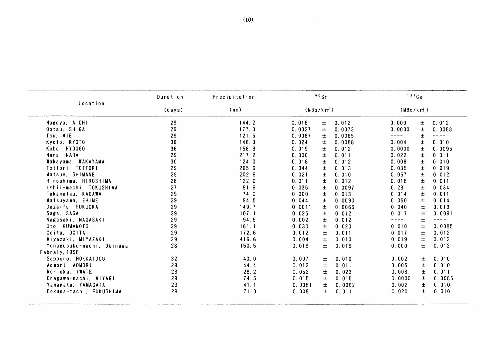|                           | Duration | Precipitation |          | 90Sr  |        | 137Cs                  |       |               |
|---------------------------|----------|---------------|----------|-------|--------|------------------------|-------|---------------|
| Location                  | (days)   | (mn)          | (MBq/km) |       |        | (MBq/km <sup>2</sup> ) |       |               |
| Nagoya, AICHI             | 29       | 144.2         | 0.016    | 士     | 0.012  | 0.000                  | $\pm$ | 0.012         |
| Ootsu, SHIGA              | 29       | 177.0         | 0.0027   | 土     | 0.0073 | 0.0000                 | 士     | 0.0088        |
| Tsu, MIE                  | 29       | 121.5         | 0.0087   | 土     | 0.0065 | ----                   | $\pm$ | $\frac{1}{2}$ |
| Kyoto, KYOTO              | 36       | 146.0         | 0.024    | 土     | 0.0088 | 0.004                  | $\pm$ | 0.010         |
| Kobe, HYOUGO              | 36       | 158.3         | 0.019    | 土     | 0.012  | 0.0000                 | $\pm$ | 0.0095        |
| Nara, NARA                | 29       | 217.2         | 0.000    | 士     | 0.011  | 0.022                  | Ŧ.    | 0.011         |
| Wakayama, WAKAYAMA        | 30       | 124.0         | 0.018    | 土     | 0.012  | 0.008                  | 士     | 0.010         |
| Tottori, TOTTOR!          | 29       | 265.6         | 0.044    | $\pm$ | 0.013  | 0.035                  | $\pm$ | 0.019         |
| Matsue, SHIMANE           | 29       | 202.6         | 0.021    | $\pm$ | 0.010  | 0.057                  | $\pm$ | 0.012         |
| Hiroshima, HIROSHIMA      | 28       | 122.0         | 0.011    | 士     | 0.012  | 0.018                  | $\pm$ | 0.011         |
| Ishii-machi, TOKUSHIMA    | 27       | 91.9          | 0.035    | 士     | 0.0097 | 0.23                   | 士     | 0.034         |
| Takamatsu. KAGAWA         | 29       | 74.0          | 0.000    | $\pm$ | 0.013  | 0.014                  | $\pm$ | 0.011         |
| Matsuyama, EHIME          | 29       | 94.5          | 0.044    | $\pm$ | 0.0090 | 0.050                  | $\pm$ | 0.014         |
| Dazaifu, FUKUOKA          | 29       | 149.7         | 0.0011   | 土     | 0.0066 | 0.040                  | $\pm$ | 0.013         |
| Saga, SAGA                | 29       | 107.1         | 0.025    | $\pm$ | 0.012  | 0.017                  | 士     | 0.0091        |
| Nagasaki, NAGASAKI        | 29       | 94 5          | 0.002    | $\pm$ | 0.012  | ----                   | Ŧ     | $- - - - -$   |
| Uto. KUMAMOTO             | 29       | 161.1         | 0.030    | $\pm$ | 0.020  | 0.010                  | $\pm$ | 0.0085        |
| Ooita, OOITA              | 29       | 172.6         | 0.012    | $\pm$ | 0.011  | 0.017                  | 士     | 0.012         |
| Miyazaki, MIYAZAKI        | 29       | 416.6         | 0.004    | 士     | 0.010  | 0.019                  | $\pm$ | 0.012         |
| Yonagusuku-machi, Okinawa | 28       | 150.5         | 0.016    | $\pm$ | 0.016  | 0.000                  | $\pm$ | 0.012         |
| Febraly, 1998             |          |               |          |       |        |                        |       |               |
| Sapporo, HOKKAIDOU        | 32       | 40.0          | 0.007    | 土     | 0.010  | 0.002                  | 士     | 0.010         |
| Aomori, AOMORI            | 29       | 44.4          | 0.012    | 土     | 0.011  | 0.005                  | 土     | 0.010         |
| Morioka, IWATE            | 28       | 28.2          | 0.052    | 士     | 0.023  | 0.008                  | 土     | 0.011         |
| Onagawa-machi, MIYAGI     | 29       | 74.5          | 0.015    | 士     | 0.015  | 0.0000                 | 土     | 0.0086        |
| Yamagata, YAMAGATA        | 29       | 41.1          | 0.0081   | $\pm$ | 0.0062 | 0.002                  | Ŧ.    | 0.010         |
| Ookuma-machi, FUKUSHIMA   | 29       | 71.0          | 0.008    | 土     | 0.011  | 0.020                  | $\pm$ | 0.010         |

 $\mathcal{L}^{\mathcal{L}}(\mathcal{L}^{\mathcal{L}})$  . The set of  $\mathcal{L}^{\mathcal{L}}(\mathcal{L}^{\mathcal{L}})$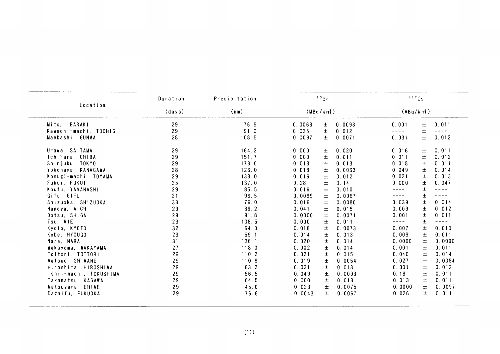| Location               | Duration       | Precipitation |          | $90$ Sr |        | 137Cs    |       |                             |
|------------------------|----------------|---------------|----------|---------|--------|----------|-------|-----------------------------|
|                        | (days)<br>(mm) |               | (MBq/km) |         |        | (MBq/km) |       |                             |
| Mito, IBARAKI          | 29             | 76.5          | 0.0063   | 土       | 0.0098 | 0.001    | 土     | 0.011                       |
| Kawachi-machi, TOCHIGI | 29             | 91.0          | 0.035    | $\pm$   | 0.012  |          | Ŧ     | ----                        |
| Maebashi, GUNMA        | 28             | 108.5         | 0.0097   | 土       | 0.0071 | 0.031    | $\pm$ | 0.012                       |
| Urawa, SAITAMA         | 29             | 164.2         | 0.000    | 土       | 0.020  | 0.016    | 土     | 0.011                       |
| Ichihara, CHIBA        | 29             | 151.7         | 0.000    | 土       | 0.011  | 0.011    | $\pm$ | 0.012                       |
| Shinjuku, TOKYO        | 29             | 173.0         | 0.013    | 土       | 0.013  | 0.018    | 土     | 0.011                       |
| Yokohama, KANAGAWA     | 28             | 126.0         | 0.018    | 土       | 0.0063 | 0.049    | 土     | 0.014                       |
| Kosugi-machi, TOYAMA   | 29             | 138.0         | 0.016    | $\pm$   | 0.012  | 0.021    | 土     | 0.013                       |
| Fukui, FUKUI           | 35             | 137.0         | 0.28     | $\pm$   | 0.14   | 0.000    | 士     | 0.047                       |
| Koufu, YAMANASHI       | 29             | 85.5          | 0.016    | 土       | 0.010  | ----     | 士     | $- - - -$                   |
| Gifu, GIFU             | 31             | 96.5          | 0.0099   | 士       | 0.0067 | ----     | 士     | $---$                       |
| Shizuoka, SHIZUOKA     | 33             | 76.0          | 0.016    | 土       | 0.0080 | 0.039    | $\pm$ | 0.014                       |
| Nagoya, AICHI          | 29             | 86.2          | 0.041    | 士       | 0.015  | 0.009    | 土     | 0.012                       |
| Ootsu, SHIGA           | 29             | 91.8          | 0.0000   | 土       | 0.0071 | 0.001    | $\pm$ | 0.011                       |
| Tsu, MIE               | 29             | 108.5         | 0.000    | 土       | 0.011  | ----     | 士     | $\sim$ $\sim$ $\sim$ $\sim$ |
| Kyoto, KYOTO           | 32             | 64.0          | 0.016    | 土       | 0.0073 | 0.007    | 士     | 0.010                       |
| Kobe, HYOUGO           | 29             | 59.1          | 0.014    | $\pm$   | 0.013  | 0.009    | 土     | 0.011                       |
| Nara, NARA             | 31             | 136.1         | 0.020    | 士       | 0.014  | 0.0000   | 士     | 0.0090                      |
| Wakayama, WAKAYAMA     | 27             | 118.0         | 0.002    | $\pm$   | 0.014  | 0.001    | 士     | 0.011                       |
| Tottori, TOTTORI       | 29             | 110.2         | 0.021    | $\pm$   | 0.015  | 0.040    | 士     | 0.014                       |
| Matsue, SHIMANE        | 29             | 110.9         | 0.019    | $\pm$   | 0.0054 | 0.027    | 土     | 0.0084                      |
| Hiroshima, HIROSHIMA   | 29             | 63.2          | 0.021    | $\pm$   | 0.013  | 0.001    | 土     | 0.012                       |
| Ishii-machi, TOKUSHIMA | 29             | 56.5          | 0.049    | $\pm$   | 0.0093 | 0.16     | 士     | 0.011                       |
| Takamatsu, KAGAWA      | 29             | 64.5          | 0.000    | 土       | 0.013  | 0.013    | 士     | 0.011                       |
| Matsuyama, EHIME       | 29             | 45.0          | 0.023    | $\pm$   | 0.0075 | 0.0000   | 土     | 0.0097                      |
| Dazaifu, FUKUOKA       | 29             | 76.6          | 0.0043   | 士       | 0.0067 | 0.026    | 士     | 0.011                       |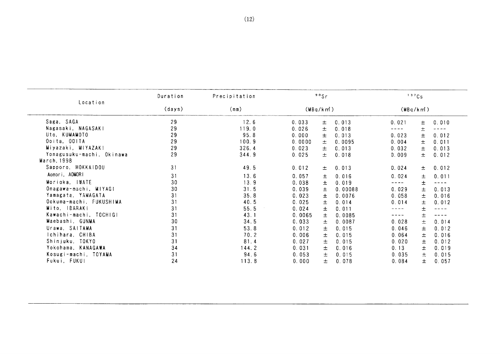|                           | Duration | Precipitation | 90Sr         |                 | 137Cs          |       |
|---------------------------|----------|---------------|--------------|-----------------|----------------|-------|
| Location                  | (days)   | (mm)          | $(MBq/km^2)$ |                 | $(MBq/km^2)$   |       |
| Saga, SAGA                | 29       | 12.6          | 0.033        | 0.013<br>土      | 0.021<br>士     | 0.010 |
| Nagasaki, NAGASAKI        | 29       | 119.0         | 0.026        | 0.018<br>土      | 土              |       |
| Uto, KUMAMOTO             | 29       | 95.8          | 0.000        | 0.013<br>土      | 0.023<br>士     | 0.012 |
| Ooita, OOITA              | 29       | 100.9         | 0.0000       | 0.0095<br>土     | 0.004<br>士     | 0.011 |
| Miyazaki, MIYAZAKI        | 29       | 326.4         | 0.023        | 0.013<br>土      | 0.032<br>土     | 0.013 |
| Yonagusuku-machi, Okinawa | 29       | 344.9         | 0.025        | 0.018<br>士      | 0.009<br>$\pm$ | 0.012 |
| March, 1998               |          |               |              |                 |                |       |
| Sapporo, HOKKAIDOU        | 31       | 49.5          | 0.012        | 0.013<br>土      | 土<br>0.024     | 0.012 |
| Aomori, AOMORI            | 31       | 13.6          | 0.057        | 0.016<br>土      | 0.024<br>土     | 0.011 |
| Morioka, IWATE            | 30       | 13.9          | 0.038        | 0.019<br>士      | 土<br>----      | ----  |
| Onagawa-machi, MIYAGI     | 30       | 31.5          | 0.039        | 0.00088<br>士    | 0.029<br>土     | 0.013 |
| Yamagata, YAMAGATA        | 31       | 35.8          | 0.023        | 0.0076<br>$\pm$ | 0.058<br>土     | 0.016 |
| Ookuma-machi, FUKUSHIMA   | 31       | 40.5          | 0.025        | 0.014<br>$\pm$  | 0.014<br>士     | 0.012 |
| Mito. IBARAKI             | 31       | 55.5          | 0.024        | 0.011<br>士      | 土              |       |
| Kawachi-machi, TOCHIGI    | 31       | 43.1          | 0.0065       | 0.0085<br>士     | 土<br>----      | ----  |
| Maebashi, GUNMA           | 30       | 34.5          | 0.033        | 0.0087<br>土     | 0.028<br>土     | 0.014 |
| Urawa, SAITAMA            | 31       | 53.8          | 0.012        | 0.015<br>士      | 0.046<br>土     | 0.012 |
| Ichihara, CHIBA           | 31       | 70.2          | 0.006        | 0.015<br>士      | 0.064<br>士     | 0.016 |
| Shinjuku, TOKYO           | 31       | 81.4          | 0.027        | $\pm$<br>0.015  | 0.020<br>土     | 0.012 |
| Yokohama, KANAGAWA        | 34       | 144.2         | 0.031        | 0.016<br>士      | 0.13<br>土      | 0.019 |
| Kosugi-machi, TOYAMA      | 31       | 94.6          | 0.053        | 0.015<br>士      | 0.035<br>土     | 0.015 |
| Fukui, FUKUI              | 24       | 113.8         | 0.000        | 0.078<br>$\pm$  | 0.084<br>士     | 0.057 |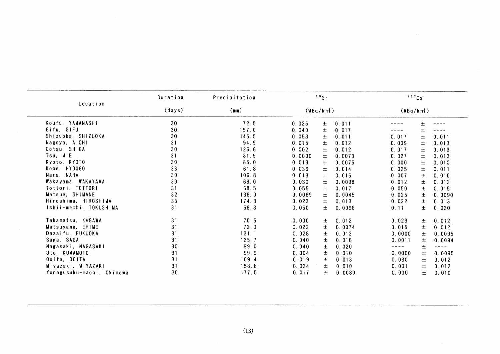| Location                  | Duration | Precipitation |          | 90Sr  |        |          | 137Cs    |        |
|---------------------------|----------|---------------|----------|-------|--------|----------|----------|--------|
|                           | (days)   | (mm)          | (MBq/km) |       |        |          | (MBq/km) |        |
| Koufu, YAMANASHI          | 30       | 72.5          | 0.025    | 士     | 0.011  |          |          |        |
| Gifu, GIFU                | 30       | 157.0         | 0.040    | 士     | 0.017  |          |          |        |
| Shizuoka, SHIZUOKA        | 30       | 145.5         | 0.058    | 土     | 0.011  | 0.017    | $\pm$    | 0.011  |
| Nagoya, AICHI             | 31       | 94.9          | 0.015    | 土     | 0.012  | 0.009    | 士        | 0.013  |
| Ootsu, SHIGA              | 30       | 126.6         | 0.002    | 土     | 0.012  | 0.017    | $\pm$    | 0.013  |
| Tsu, MIE                  | 31       | 81.5          | 0.0000   | 土     | 0.0073 | 0.027    | 土        | 0.013  |
| Kyoto, KYOTO              | 30       | 85.0          | 0.018    | 士     | 0.0075 | 0.000    | 士        | 0.010  |
| Kobe, HYOUGO              | 33       | 61.8          | 0.036    | 士     | 0.014  | 0.025    | 土        | 0.011  |
| Nara, NARA                | 30       | 106.8         | 0.013    | 士     | 0.015  | 0.007    | 土        | 0.010  |
| Wakayama, WAKAYAMA        | 30       | 69.0          | 0.030    | 土     | 0.0098 | 0.012    | 土        | 0.012  |
| Tottori, TOTTORI          | 31       | 68.5          | 0.055    | 士     | 0.017  | 0.050    | $\pm$    | 0.015  |
| Matsue, SHIMANE           | 32       | 136.0         | 0.0069   | 士     | 0.0045 | 0.025    | 士        | 0.0090 |
| Hiroshima, HIROSHIMA      | 35       | 174.3         | 0.023    | 士     | 0.013  | 0.022    | 土        | 0.013  |
| Ishii-machi, TOKUSHIMA    | 31       | 56.8          | 0.050    | 士     | 0.0096 | 0.11     | 土        | 0.020  |
| Takamatsu, KAGAWA         | 31       | 70.5          | 0.000    | 士     | 0.012  | 0.029    | 士        | 0.012  |
| Matsuyama, EHIME          | 31       | 72.0          | 0.022    | 土     | 0.0074 | 0.015    | 土        | 0.012  |
| Dazaifu, FUKUOKA          | 31       | 131.1         | 0.028    | 士     | 0.013  | 0.0000   | 士        | 0.0095 |
| Saga, SAGA                | 31       | 125.7         | 0.040    | $\pm$ | 0.016  | 0.0011   | 土        | 0.0094 |
| Nagasaki, NAGASAKI        | 30       | 99.0          | 0.040    | 士     | 0.020  | $-- - -$ | 土        |        |
| Uto. KUMAMOTO             | 31       | 99.9          | 0.004    | 士     | 0.010  | 0.0000   | 士        | 0.0095 |
| Ooita, OOITA              | 31       | 109.4         | 0.019    | 土     | 0.013  | 0.030    | 土        | 0.012  |
| Miyazaki, MIYAZAKI        | 31       | 158.8         | 0.024    | 土     | 0.010  | 0.001    | 士        | 0.012  |
| Yonagusuku-machi, Okinawa | 30       | 177.5         | 0.017    | 土     | 0.0080 | 0.000    | 土        | 0.010  |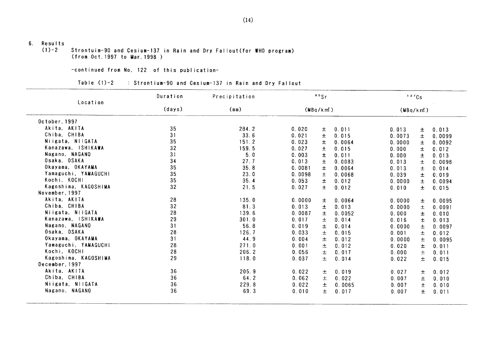# 6. Results<br> $(1)-2$

Strontuim-90 and Cesium-137 in Rain and Dry Fallout(for WHO program) (from Oct. 1997 to Mar. 1998)

-COntinued fron No,122 0f this publication-

| Tabie (1)-2 |  |  | : Strontium-90 and Cesium-137 in Rain and Dry Fallout |  |  |  |  |  |  |  |
|-------------|--|--|-------------------------------------------------------|--|--|--|--|--|--|--|
|-------------|--|--|-------------------------------------------------------|--|--|--|--|--|--|--|

| Location             | Duration | Precipitation |              | 90Sr  |        | 137Cs                  |       |        |
|----------------------|----------|---------------|--------------|-------|--------|------------------------|-------|--------|
|                      | (days)   | (mn)          | $(MBq/km^2)$ |       |        | (MBq/km <sup>2</sup> ) |       |        |
| October, 1997        |          |               |              |       |        |                        |       |        |
| Akita, AKITA         | 35       | 284.2         | 0.020        | 土     | 0.011  | 0.013                  | 士     | 0.013  |
| Chiba, CHIBA         | 31       | 33.6          | 0.021        | 士     | 0.015  | 0.0073                 | 士     | 0.0099 |
| Niigata, NilGATA     | 35       | 151.2         | 0.023        | 土     | 0.0064 | 0.0000                 | 士     | 0.0092 |
| Kanazawa, ISHIKAWA   | 32       | 159.5         | 0.027        | 土     | 0.015  | 0.000                  | 士     | 0.012  |
| Nagano, NAGANO       | 31       | 5.0           | 0.003        | $\pm$ | 0.011  | 0.000                  | Ŧ.    | 0.013  |
| Osaka, OSAKA         | 34       | 27.7          | 0.013        | 土     | 0.0083 | 0.013                  | 士     | 0.0098 |
| Okayama, OKAYAMA     | 35       | 35.8          | 0.0081       | 土     | 0.0064 | 0.013                  | 土     | 0.014  |
| Yamaguchi, YAMAGUCHI | 35       | 23.0          | 0.0098       | 士     | 0.0068 | 0.039                  | 士     | 0.019  |
| Kochi, KOCHI         | 35       | 35.4          | 0.053        | $\pm$ | 0.012  | 0.0000                 | 士     | 0.0094 |
| Kagoshima, KAGOSHIMA | 32       | 21.5          | 0.027        | $\pm$ | 0.012  | 0.010                  | $\pm$ | 0.015  |
| November, 1997       |          |               |              |       |        |                        |       |        |
| Akita, AKITA         | 28       | 135.0         | 0.0000       | $\pm$ | 0.0064 | 0.0000                 | 士     | 0.0095 |
| Chiba, CHIBA         | 32       | 81.3          | 0.013        | 土     | 0.013  | 0.0000                 | 士     | 0.0091 |
| Niigata, NIIGATA     | 28       | 139.6         | 0.0087       | 士     | 0.0052 | 0.000                  | 土     | 0.010  |
| Kanazawa, ISHIKAWA   | 29       | 301.0         | 0.017        | 土     | 0.014  | 0.016                  | $\pm$ | 0.013  |
| Nagano, NAGANO       | 31       | 56.8          | 0.019        | 土     | 0.014  | 0.0000                 | 士     | 0.0097 |
| Osaka, OSAKA         | 28       | 126.7         | 0.033        | $\pm$ | 0.015  | 0.001                  | $\pm$ | 0.012  |
| Okayama, OKAYAMA     | 31       | 44.9          | 0.004        | 土     | 0.012  | 0.0000                 | $\pm$ | 0.0095 |
| Yamaguchi, YAMAGUCHI | 28       | 271.0         | 0.001        | $\pm$ | 0.012  | 0.020                  | 士     | 0.011  |
| Kochi, KOCHI         | 28       | 206.2         | 0.056        | $\pm$ | 0.017  | 0.000                  | $\pm$ | 0.011  |
| Kagoshima, KAGOSHIMA | 29       | 118.0         | 0.037        | 士     | 0.014  | 0.022                  | 士     | 0.015  |
| December, 1997       |          |               |              |       |        |                        |       |        |
| Akita, AKITA         | 36       | 205.9         | 0.022        | 土     | 0.019  | 0.027                  | 土     | 0.012  |
| Chiba, CHIBA         | 36       | 64.2          | 0.062        | 士     | 0.022  | 0.007                  | 土     | 0.010  |
| Niigata, N11GATA     | 36       | 229.8         | 0.022        | 士     | 0.0065 | 0.007                  | $\pm$ | 0.010  |
| Nagano, NAGANO       | 36       | 69.3          | 0.010        | 土     | 0.017  | 0.007                  | $\pm$ | 0.011  |

 $(14)$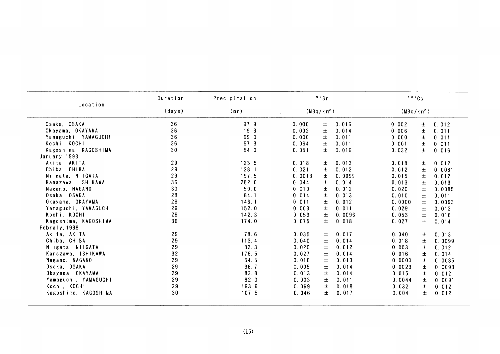| Location<br>(days)<br>(MBq/km)<br>(mn)<br>(MBq/km)<br>Osaka, OSAKA<br>36<br>97.9<br>0.016<br>0.000<br>$\pm$<br>0.002<br>0.012<br>$\pm$<br>36<br>19.3<br>Okayama, OKAYAMA<br>0.002<br>$\pm$<br>0.014<br>0.006<br>士<br>0.011<br>36<br>Yamaguchi, YAMAGUCHI<br>69.0<br>0.000<br>$\pm$<br>0.011<br>0.000<br>土<br>0.011<br>36<br>Kochi, KOCHI<br>57.8<br>0.011<br>0.064<br>土<br>0.001<br>$\pm$<br>0.011<br>30<br>Kagoshima, KAGOSHIMA<br>54.0<br>0.051<br>土<br>0.016<br>0.032<br>土<br>0.016<br>January, 1998<br>29<br>125.5<br>Akita, AKITA<br>0.018<br>0.013<br>0.018<br>0.012<br>土<br>士<br>29<br>128.1<br>Chiba, CHIBA<br>0.021<br>$\pm$<br>0.012<br>0.012<br>土<br>0.0081<br>29<br>197.5<br>0.0099<br>Niigata, NIIGATA<br>0.0013<br>土<br>0.015<br>$\pm$<br>0.012<br>36<br>282.0<br>Kanazawa, ISHIKAWA<br>0.044<br>$\pm$<br>0.014<br>0.013<br>土<br>0.013<br>Nagano, NAGANO<br>30<br>50.0<br>$\pm$<br>0.012<br>0.010<br>0.020<br>土<br>0.0085<br>$28\,$<br>Osaka, OSAKA<br>84.1<br>0.014<br>0.013<br>0.010<br>土<br>土<br>0.011<br>29<br>146.1<br>0.011<br>0.012<br>Okayama, OKAYAMA<br>土<br>0.0000<br>土<br>0.0093<br>29<br>土<br>Yamaguchi, YAMAGUCHI<br>152.0<br>0.003<br>0.011<br>0.029<br>土<br>0.013<br>29<br>142.3<br>Kochi, KOCHI<br>0.059<br>土<br>0.0096<br>0.053<br>土<br>0.016<br>36<br>Kagoshima, KAGOSHIMA<br>174.0<br>0.018<br>0.027<br>0.075<br>土<br>土<br>0.014<br>Febraly, 1998<br>29<br>78.6<br>0.017<br>Akita, AKITA<br>0.035<br>0.040<br>土<br>$\pm$<br>0.013<br>29<br>113.4<br>$\pm$<br>0.014<br>0.018<br>Chiba, CHIBA<br>0.040<br>土<br>0.0099<br>29<br>82.3<br>0.012<br>Niigata, NIIGATA<br>0.020<br>$\pm$<br>0.003<br>土<br>0.012<br>32<br>Kanazawa, ISHIKAWA<br>176.5<br>0.014<br>0.027<br>土<br>0.016<br>$\pm$<br>0.014<br>29<br>54.5<br>$\pm$<br>0.013<br>Nagano, NAGANO<br>0.016<br>0.0000<br>$\pm$<br>0.0085<br>29<br>Osaka, OSAKA<br>96.7<br>0.005<br>$\pm$<br>0.014<br>0.0023<br>$\pm$<br>0.0093<br>29<br>82.8<br>Okayama, OKAYAMA<br>0.013<br>0.014<br>0.015<br>土<br>土<br>0.012<br>29<br>82.0<br>Yamaguchi, YAMAGUCHI<br>0.003<br>$\pm$<br>0.011<br>0.0044<br>$\pm$<br>0.0091<br>29<br>Kochi, KOCHI<br>193.6<br>0.069<br>土<br>0.018<br>0.032<br>$\pm$<br>0.012<br>30<br>Kagoshima, KAGOSHIMA<br>107.5<br>$\pm$<br>0.017<br>0.004<br>$\pm$<br>0.046<br>0.012<br>(15) |  |  |  |  |  |
|------------------------------------------------------------------------------------------------------------------------------------------------------------------------------------------------------------------------------------------------------------------------------------------------------------------------------------------------------------------------------------------------------------------------------------------------------------------------------------------------------------------------------------------------------------------------------------------------------------------------------------------------------------------------------------------------------------------------------------------------------------------------------------------------------------------------------------------------------------------------------------------------------------------------------------------------------------------------------------------------------------------------------------------------------------------------------------------------------------------------------------------------------------------------------------------------------------------------------------------------------------------------------------------------------------------------------------------------------------------------------------------------------------------------------------------------------------------------------------------------------------------------------------------------------------------------------------------------------------------------------------------------------------------------------------------------------------------------------------------------------------------------------------------------------------------------------------------------------------------------------------------------------------------------------------------------------------------------------------------------------------------------------------------------------------------------------------------------------------------------------------------------------------------------------------------------------------------------------------------------------------------------------------|--|--|--|--|--|
|                                                                                                                                                                                                                                                                                                                                                                                                                                                                                                                                                                                                                                                                                                                                                                                                                                                                                                                                                                                                                                                                                                                                                                                                                                                                                                                                                                                                                                                                                                                                                                                                                                                                                                                                                                                                                                                                                                                                                                                                                                                                                                                                                                                                                                                                                    |  |  |  |  |  |
|                                                                                                                                                                                                                                                                                                                                                                                                                                                                                                                                                                                                                                                                                                                                                                                                                                                                                                                                                                                                                                                                                                                                                                                                                                                                                                                                                                                                                                                                                                                                                                                                                                                                                                                                                                                                                                                                                                                                                                                                                                                                                                                                                                                                                                                                                    |  |  |  |  |  |
|                                                                                                                                                                                                                                                                                                                                                                                                                                                                                                                                                                                                                                                                                                                                                                                                                                                                                                                                                                                                                                                                                                                                                                                                                                                                                                                                                                                                                                                                                                                                                                                                                                                                                                                                                                                                                                                                                                                                                                                                                                                                                                                                                                                                                                                                                    |  |  |  |  |  |
|                                                                                                                                                                                                                                                                                                                                                                                                                                                                                                                                                                                                                                                                                                                                                                                                                                                                                                                                                                                                                                                                                                                                                                                                                                                                                                                                                                                                                                                                                                                                                                                                                                                                                                                                                                                                                                                                                                                                                                                                                                                                                                                                                                                                                                                                                    |  |  |  |  |  |
|                                                                                                                                                                                                                                                                                                                                                                                                                                                                                                                                                                                                                                                                                                                                                                                                                                                                                                                                                                                                                                                                                                                                                                                                                                                                                                                                                                                                                                                                                                                                                                                                                                                                                                                                                                                                                                                                                                                                                                                                                                                                                                                                                                                                                                                                                    |  |  |  |  |  |
|                                                                                                                                                                                                                                                                                                                                                                                                                                                                                                                                                                                                                                                                                                                                                                                                                                                                                                                                                                                                                                                                                                                                                                                                                                                                                                                                                                                                                                                                                                                                                                                                                                                                                                                                                                                                                                                                                                                                                                                                                                                                                                                                                                                                                                                                                    |  |  |  |  |  |
|                                                                                                                                                                                                                                                                                                                                                                                                                                                                                                                                                                                                                                                                                                                                                                                                                                                                                                                                                                                                                                                                                                                                                                                                                                                                                                                                                                                                                                                                                                                                                                                                                                                                                                                                                                                                                                                                                                                                                                                                                                                                                                                                                                                                                                                                                    |  |  |  |  |  |
|                                                                                                                                                                                                                                                                                                                                                                                                                                                                                                                                                                                                                                                                                                                                                                                                                                                                                                                                                                                                                                                                                                                                                                                                                                                                                                                                                                                                                                                                                                                                                                                                                                                                                                                                                                                                                                                                                                                                                                                                                                                                                                                                                                                                                                                                                    |  |  |  |  |  |
|                                                                                                                                                                                                                                                                                                                                                                                                                                                                                                                                                                                                                                                                                                                                                                                                                                                                                                                                                                                                                                                                                                                                                                                                                                                                                                                                                                                                                                                                                                                                                                                                                                                                                                                                                                                                                                                                                                                                                                                                                                                                                                                                                                                                                                                                                    |  |  |  |  |  |
|                                                                                                                                                                                                                                                                                                                                                                                                                                                                                                                                                                                                                                                                                                                                                                                                                                                                                                                                                                                                                                                                                                                                                                                                                                                                                                                                                                                                                                                                                                                                                                                                                                                                                                                                                                                                                                                                                                                                                                                                                                                                                                                                                                                                                                                                                    |  |  |  |  |  |
|                                                                                                                                                                                                                                                                                                                                                                                                                                                                                                                                                                                                                                                                                                                                                                                                                                                                                                                                                                                                                                                                                                                                                                                                                                                                                                                                                                                                                                                                                                                                                                                                                                                                                                                                                                                                                                                                                                                                                                                                                                                                                                                                                                                                                                                                                    |  |  |  |  |  |
|                                                                                                                                                                                                                                                                                                                                                                                                                                                                                                                                                                                                                                                                                                                                                                                                                                                                                                                                                                                                                                                                                                                                                                                                                                                                                                                                                                                                                                                                                                                                                                                                                                                                                                                                                                                                                                                                                                                                                                                                                                                                                                                                                                                                                                                                                    |  |  |  |  |  |
|                                                                                                                                                                                                                                                                                                                                                                                                                                                                                                                                                                                                                                                                                                                                                                                                                                                                                                                                                                                                                                                                                                                                                                                                                                                                                                                                                                                                                                                                                                                                                                                                                                                                                                                                                                                                                                                                                                                                                                                                                                                                                                                                                                                                                                                                                    |  |  |  |  |  |
|                                                                                                                                                                                                                                                                                                                                                                                                                                                                                                                                                                                                                                                                                                                                                                                                                                                                                                                                                                                                                                                                                                                                                                                                                                                                                                                                                                                                                                                                                                                                                                                                                                                                                                                                                                                                                                                                                                                                                                                                                                                                                                                                                                                                                                                                                    |  |  |  |  |  |
|                                                                                                                                                                                                                                                                                                                                                                                                                                                                                                                                                                                                                                                                                                                                                                                                                                                                                                                                                                                                                                                                                                                                                                                                                                                                                                                                                                                                                                                                                                                                                                                                                                                                                                                                                                                                                                                                                                                                                                                                                                                                                                                                                                                                                                                                                    |  |  |  |  |  |
|                                                                                                                                                                                                                                                                                                                                                                                                                                                                                                                                                                                                                                                                                                                                                                                                                                                                                                                                                                                                                                                                                                                                                                                                                                                                                                                                                                                                                                                                                                                                                                                                                                                                                                                                                                                                                                                                                                                                                                                                                                                                                                                                                                                                                                                                                    |  |  |  |  |  |
|                                                                                                                                                                                                                                                                                                                                                                                                                                                                                                                                                                                                                                                                                                                                                                                                                                                                                                                                                                                                                                                                                                                                                                                                                                                                                                                                                                                                                                                                                                                                                                                                                                                                                                                                                                                                                                                                                                                                                                                                                                                                                                                                                                                                                                                                                    |  |  |  |  |  |
|                                                                                                                                                                                                                                                                                                                                                                                                                                                                                                                                                                                                                                                                                                                                                                                                                                                                                                                                                                                                                                                                                                                                                                                                                                                                                                                                                                                                                                                                                                                                                                                                                                                                                                                                                                                                                                                                                                                                                                                                                                                                                                                                                                                                                                                                                    |  |  |  |  |  |
|                                                                                                                                                                                                                                                                                                                                                                                                                                                                                                                                                                                                                                                                                                                                                                                                                                                                                                                                                                                                                                                                                                                                                                                                                                                                                                                                                                                                                                                                                                                                                                                                                                                                                                                                                                                                                                                                                                                                                                                                                                                                                                                                                                                                                                                                                    |  |  |  |  |  |
|                                                                                                                                                                                                                                                                                                                                                                                                                                                                                                                                                                                                                                                                                                                                                                                                                                                                                                                                                                                                                                                                                                                                                                                                                                                                                                                                                                                                                                                                                                                                                                                                                                                                                                                                                                                                                                                                                                                                                                                                                                                                                                                                                                                                                                                                                    |  |  |  |  |  |
|                                                                                                                                                                                                                                                                                                                                                                                                                                                                                                                                                                                                                                                                                                                                                                                                                                                                                                                                                                                                                                                                                                                                                                                                                                                                                                                                                                                                                                                                                                                                                                                                                                                                                                                                                                                                                                                                                                                                                                                                                                                                                                                                                                                                                                                                                    |  |  |  |  |  |
|                                                                                                                                                                                                                                                                                                                                                                                                                                                                                                                                                                                                                                                                                                                                                                                                                                                                                                                                                                                                                                                                                                                                                                                                                                                                                                                                                                                                                                                                                                                                                                                                                                                                                                                                                                                                                                                                                                                                                                                                                                                                                                                                                                                                                                                                                    |  |  |  |  |  |
|                                                                                                                                                                                                                                                                                                                                                                                                                                                                                                                                                                                                                                                                                                                                                                                                                                                                                                                                                                                                                                                                                                                                                                                                                                                                                                                                                                                                                                                                                                                                                                                                                                                                                                                                                                                                                                                                                                                                                                                                                                                                                                                                                                                                                                                                                    |  |  |  |  |  |
|                                                                                                                                                                                                                                                                                                                                                                                                                                                                                                                                                                                                                                                                                                                                                                                                                                                                                                                                                                                                                                                                                                                                                                                                                                                                                                                                                                                                                                                                                                                                                                                                                                                                                                                                                                                                                                                                                                                                                                                                                                                                                                                                                                                                                                                                                    |  |  |  |  |  |
|                                                                                                                                                                                                                                                                                                                                                                                                                                                                                                                                                                                                                                                                                                                                                                                                                                                                                                                                                                                                                                                                                                                                                                                                                                                                                                                                                                                                                                                                                                                                                                                                                                                                                                                                                                                                                                                                                                                                                                                                                                                                                                                                                                                                                                                                                    |  |  |  |  |  |
|                                                                                                                                                                                                                                                                                                                                                                                                                                                                                                                                                                                                                                                                                                                                                                                                                                                                                                                                                                                                                                                                                                                                                                                                                                                                                                                                                                                                                                                                                                                                                                                                                                                                                                                                                                                                                                                                                                                                                                                                                                                                                                                                                                                                                                                                                    |  |  |  |  |  |
|                                                                                                                                                                                                                                                                                                                                                                                                                                                                                                                                                                                                                                                                                                                                                                                                                                                                                                                                                                                                                                                                                                                                                                                                                                                                                                                                                                                                                                                                                                                                                                                                                                                                                                                                                                                                                                                                                                                                                                                                                                                                                                                                                                                                                                                                                    |  |  |  |  |  |
|                                                                                                                                                                                                                                                                                                                                                                                                                                                                                                                                                                                                                                                                                                                                                                                                                                                                                                                                                                                                                                                                                                                                                                                                                                                                                                                                                                                                                                                                                                                                                                                                                                                                                                                                                                                                                                                                                                                                                                                                                                                                                                                                                                                                                                                                                    |  |  |  |  |  |
|                                                                                                                                                                                                                                                                                                                                                                                                                                                                                                                                                                                                                                                                                                                                                                                                                                                                                                                                                                                                                                                                                                                                                                                                                                                                                                                                                                                                                                                                                                                                                                                                                                                                                                                                                                                                                                                                                                                                                                                                                                                                                                                                                                                                                                                                                    |  |  |  |  |  |
|                                                                                                                                                                                                                                                                                                                                                                                                                                                                                                                                                                                                                                                                                                                                                                                                                                                                                                                                                                                                                                                                                                                                                                                                                                                                                                                                                                                                                                                                                                                                                                                                                                                                                                                                                                                                                                                                                                                                                                                                                                                                                                                                                                                                                                                                                    |  |  |  |  |  |
|                                                                                                                                                                                                                                                                                                                                                                                                                                                                                                                                                                                                                                                                                                                                                                                                                                                                                                                                                                                                                                                                                                                                                                                                                                                                                                                                                                                                                                                                                                                                                                                                                                                                                                                                                                                                                                                                                                                                                                                                                                                                                                                                                                                                                                                                                    |  |  |  |  |  |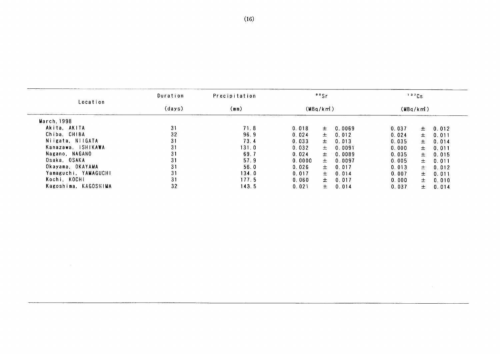|                      | Duration | Precipitation |        | 90Sr     |        |       | 137Cs    |       |
|----------------------|----------|---------------|--------|----------|--------|-------|----------|-------|
| Location             | (days)   | (mm)          |        | (MBq/km) |        |       | (MBq/km) |       |
| March, 1998          |          |               |        |          |        |       |          |       |
| Akita, AKITA         | 31       | 71.8          | 0.018  | 土        | 0.0069 | 0.037 | $+$      | 0.012 |
| Chiba, CHIBA         | 32       | 96.9          | 0.024  | 士        | 0.012  | 0.024 | $\pm$    | 0.011 |
| Niigata, NIIGATA     | 31       | 73.4          | 0.033  | 士        | 0.013  | 0.035 | 士。       | 0.014 |
| Kanazawa, ISHIKAWA   | 31       | 131.0         | 0.032  | 土        | 0.0091 | 0.000 | 士        | 0.011 |
| Nagano, NAGANO       | 31       | 69.7          | 0.024  | 土        | 0.0089 | 0.035 | $\pm$    | 0.015 |
| Osaka, OSAKA         | 31       | 57.9          | 0.0000 | 士        | 0.0097 | 0.005 | $\pm$    | 0.011 |
| Okayama, OKAYAMA     | 31       | 56.0          | 0.026  | $\pm$    | 0.017  | 0.013 | $+$      | 0.012 |
| Yamaguchi, YAMAGUCHI | 31       | 134.0         | 0.017  | 土        | 0.014  | 0.007 | 士        | 0.011 |
| Kochi, KOCHI         | 31       | 177.5         | 0.060  | 土        | 0.017  | 0.000 | $\pm$    | 0.010 |
| Kagoshima, KAGOSHIMA | 32       | 143.5         | 0.021  | 土        | 0.014  | 0.037 | $\pm$    | 0.014 |
|                      |          |               |        |          |        |       |          |       |
|                      |          |               |        |          |        |       |          |       |
|                      |          |               |        |          |        |       |          |       |
|                      |          |               |        |          |        |       |          |       |

 $\mathcal{L}^{\text{max}}_{\text{max}}$  and  $\mathcal{L}^{\text{max}}_{\text{max}}$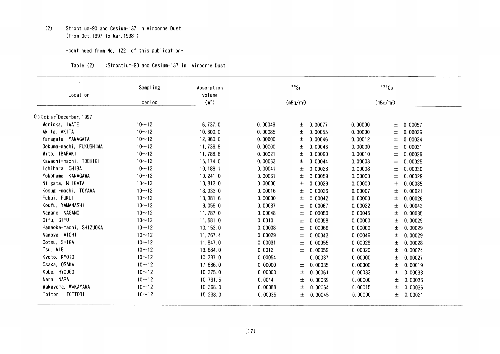## (2) Strontium-90and Cesium-137in Airborne Dust (from Oct. 1997 to Mar. 1998)

#### -COntinued fron No.122 0f this publication-

| :Strontium-90 and Cesium-137 in Airborne Dust | Table (2) |  |  |  |  |  |  |
|-----------------------------------------------|-----------|--|--|--|--|--|--|
|-----------------------------------------------|-----------|--|--|--|--|--|--|

| Location                | Sampling  | Absorption<br>volume |         | 90 <sub>Sr</sub> |         |         | 137Cs       |         |
|-------------------------|-----------|----------------------|---------|------------------|---------|---------|-------------|---------|
|                         | period    | (m <sup>2</sup> )    |         | $(mBq/m^3)$      |         |         | $(mBq/m^3)$ |         |
|                         |           |                      |         |                  |         |         |             |         |
| October December, 1997  |           |                      |         |                  |         |         |             |         |
| Morioka, IWATE          | $10 - 12$ | 6,737.0              | 0.00049 | $\pm$            | 0.00077 | 0.00000 | 土           | 0.00057 |
| Akita, AKITA            | $10 - 12$ | 10.800.0             | 0.00085 | 土                | 0.00055 | 0.00000 | 土           | 0.00026 |
| Yamagata, YAMAGATA      | $10 - 12$ | 12, 960.0            | 0.00000 | 士                | 0.00046 | 0.00012 | 土           | 0.00034 |
| Ookuma-machi, FUKUSHIMA | $10 - 12$ | 11, 736.8            | 0.00000 | 士                | 0.00046 | 0.00000 | 士           | 0.00031 |
| Mito, IBARAKI           | $10 - 12$ | 11,788.8             | 0.00021 | ±                | 0.00060 | 0.00010 | 士           | 0.00029 |
| Kawachi-machi, TOCHIGI  | $10 - 12$ | 15, 174.0            | 0.00063 | 士                | 0.00044 | 0.00003 | 士           | 0.00025 |
| Ichihara, CHIBA         | $10 - 12$ | 10, 188. 1           | 0.00041 | 士                | 0.00028 | 0.00008 | 士           | 0.00030 |
| Yokohama, KANAGAWA      | $10 - 12$ | 10, 241.0            | 0.00061 | 土                | 0.00059 | 0.00000 | 士           | 0.00029 |
| Niigata, NIIGATA        | $10 - 12$ | 10, 813.0            | 0.00000 | 土                | 0.00029 | 0.00000 | 土           | 0.00035 |
| Kosugi-machi, TOYAMA    | $10 - 12$ | 18, 033.0            | 0.00016 | 士                | 0.00026 | 0.00007 | 土           | 0.00021 |
| Fukui, FUKUI            | $10 - 12$ | 13, 381.6            | 0.00000 | 士                | 0.00042 | 0.00000 | 土           | 0.00026 |
| Koufu, YAMANASHI        | $10 - 12$ | 9, 059.0             | 0.00087 | 士                | 0.00067 | 0.00022 | 士           | 0.00043 |
| Nagano, NAGANO          | $10 - 12$ | 11, 787.0            | 0.00048 | 土                | 0.00050 | 0.00045 | 土           | 0.00035 |
| Gifu, GIFU              | $10 - 12$ | 11,581.0             | 0.0010  | ±                | 0.00058 | 0.00000 | 士           | 0.00029 |
| Hamaoka-machi, SHIZUOKA | $10 - 12$ | 10, 153.0            | 0.00008 | 土                | 0.00066 | 0.00000 | 土           | 0.00029 |
| Nagoya, AICHI           | $10 - 12$ | 11, 767.4            | 0.00029 | 士                | 0.00043 | 0.00049 | 士           | 0.00029 |
| Ootsu, SHIGA            | $10 - 12$ | 11, 847.0            | 0.00031 | 士                | 0.00055 | 0.00029 | 士           | 0.00028 |
| Tsu, MIE                | $10 - 12$ | 13,684.0             | 0.0012  | 土                | 0.00059 | 0.00020 | 士           | 0.00024 |
| Kyoto, KYOTO            | $10 - 12$ | 10, 337.0            | 0.00054 | 土                | 0.00037 | 0.00000 | 士           | 0.00027 |
| Osaka, OSAKA            | $10 - 12$ | 17,686.0             | 0.00000 | 土                | 0.00035 | 0.00000 | 土           | 0.00019 |
| Kobe, HYOUGO            | $10 - 12$ | 10, 375.0            | 0.00000 | 土                | 0.00061 | 0.00033 | 土           | 0.00033 |
| Nara, NARA              | $10 - 12$ | 10, 731.5            | 0.0014  | 土                | 0.00069 | 0.00000 | 土           | 0.00036 |
| Wakayama, WAKAYAMA      | $10 - 12$ | 10, 368.0            | 0.00088 | 士                | 0.00064 | 0.00015 | 士           | 0.00036 |
| Tottori, TOTTORI        | $10 - 12$ | 15, 238.0            | 0.00035 | 土                | 0.00045 | 0.00000 | 土           | 0.00021 |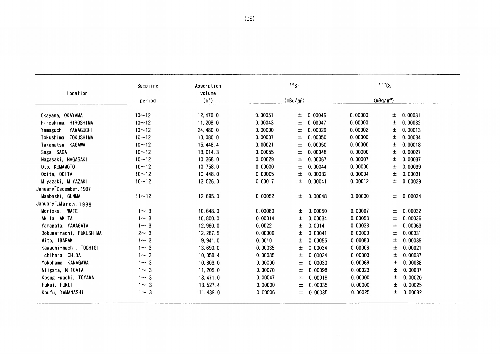| Location                | Sampling  | Absorption<br>volume |         | 90Sr                  |         |         | 137Cs                 |         |
|-------------------------|-----------|----------------------|---------|-----------------------|---------|---------|-----------------------|---------|
|                         | period    | $(\mathbb{m}^2)$     |         | (mBq/m <sup>3</sup> ) |         |         | (mBq/m <sup>3</sup> ) |         |
| Okayama, OKAYAMA        | $10 - 12$ | 12, 470.0            | 0.00051 | 土                     | 0.00046 | 0.00000 | 土                     | 0.00031 |
| Hiroshima, HIROSHIMA    | $10 - 12$ | 11, 208.0            | 0.00043 | 士                     | 0.00047 | 0.00000 | 土                     | 0.00032 |
| Yamaguchi, YAMAGUCHI    | $10 - 12$ | 24, 480.0            | 0.00000 | 士                     | 0.00026 | 0.00002 | 土                     | 0.00013 |
| Tokushima, TOKUSHIMA    | $10 - 12$ | 10,080.0             | 0.00007 | 土                     | 0.00050 | 0.00000 | 土                     | 0.00034 |
| Takamatsu, KAGAWA       | $10 - 12$ | 15, 448.4            | 0.00021 | 士                     | 0.00050 | 0.00000 | 士                     | 0.00018 |
| Saga, SAGA              | $10 - 12$ | 13, 014.3            | 0.00055 | 土                     | 0.00048 | 0.00000 | 土                     | 0.00027 |
| Nagasaki, NAGASAKI      | $10 - 12$ | 10, 368.0            | 0.00029 | 土                     | 0.00067 | 0.00007 | 士                     | 0.00037 |
| Uto, KUMAMOTO           | $10 - 12$ | 10, 758.0            | 0.00000 | 士                     | 0.00044 | 0.00000 | 土                     | 0.00039 |
| Ooita, OOITA            | $10 - 12$ | 10, 448.0            | 0.00005 | 土                     | 0.00032 | 0.00004 | 土                     | 0.00031 |
| Miyazaki, MIYAZAKI      | $10 - 12$ | 13,026.0             | 0.00017 | 士                     | 0.00041 | 0.00012 | 土                     | 0.00029 |
| January December, 1997  |           |                      |         |                       |         |         |                       |         |
| Maebashi, GUNMA         | $11 - 12$ | 12,695.0             | 0.00052 | 土                     | 0.00048 | 0.00000 | Ŧ.                    | 0.00034 |
| January March, 1998     |           |                      |         |                       |         |         |                       |         |
| Morioka, IWATE          | $1 - 3$   | 10,648.0             | 0.00080 | 士                     | 0.00050 | 0.00007 | 土                     | 0.00032 |
| Akita, AKITA            | $1 - 3$   | 10,800.0             | 0.00014 | 士                     | 0.00034 | 0.00053 | 土                     | 0.00036 |
| Yamagata, YAMAGATA      | $1 - 3$   | 12,960.0             | 0.0022  | 土                     | 0.0014  | 0.00033 | 土                     | 0.00063 |
| Ookuma-machi, FUKUSHIMA | $2 - 3$   | 12, 287.5            | 0.00006 | ±.                    | 0.00041 | 0.00000 | 土                     | 0.00031 |
| Mito, IBARAKI           | $1 - 3$   | 9,941.0              | 0.0010  | 土                     | 0.00055 | 0.00080 | 土                     | 0.00039 |
| Kawachi-machi, TOCHIGI  | $1 - 3$   | 13,690.0             | 0.00035 | 土                     | 0.00034 | 0.00006 | 土                     | 0.00021 |
| Ichihara, CHIBA         | $1 - 3$   | 10, 050.4            | 0.00085 | 土                     | 0.00034 | 0.00000 | 士                     | 0.00037 |
| Yokohama, KANAGAWA      | $1 - 3$   | 10, 303.0            | 0.00000 | 土                     | 0.00030 | 0.00069 | 土                     | 0.00038 |
| Niigata, NIIGATA        | $1 - 3$   | 11.205.0             | 0.00070 | 土                     | 0.00098 | 0.00023 | 土                     | 0.00037 |
| Kosugi-machi, TOYAMA    | $1 - 3$   | 18, 471.0            | 0.00047 | 土                     | 0.00019 | 0.00000 | 土                     | 0.00020 |
| Fukui, FUKUI            | $1 - 3$   | 13.527.4             | 0.00000 | 士                     | 0.00035 | 0.00000 | 土                     | 0.00025 |
| Koufu, YAMANASHI        | $1 - 3$   | 11, 439.0            | 0.00006 | 土                     | 0.00035 | 0.00025 | 土                     | 0.00032 |

 $\sim$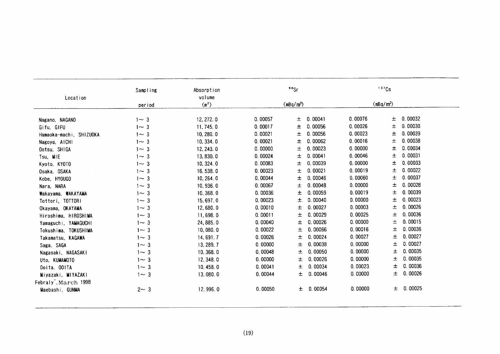|                                   | Sampling | Absorption        |         | $90$ Sr               |         |         | 137Cs                 |           |
|-----------------------------------|----------|-------------------|---------|-----------------------|---------|---------|-----------------------|-----------|
| Location                          |          | volume            |         |                       |         |         |                       |           |
|                                   | period   | (m <sup>2</sup> ) |         | (mBq/m <sup>3</sup> ) |         |         | (mBq/m <sup>3</sup> ) |           |
| Nagano, NAGANO                    | $1 - 3$  | 12, 272.0         | 0.00057 | 土                     | 0.00041 | 0.00076 | 土                     | 0.00032   |
| Gifu, GIFU                        | $1 - 3$  | 11,745.0          | 0.00017 | 土                     | 0.00056 | 0.00026 | $\pm$                 | 0.00030   |
| Hamaoka-machi, SHIZUOKA           | $1 - 3$  | 10, 280.0         | 0.00021 | 土                     | 0.00056 | 0.00023 | $\pm$                 | 0.00039   |
| Nagoya, AICHI                     | $1 - 3$  | 10, 334.0         | 0.00021 | 土                     | 0.00062 | 0.00016 | 土                     | 0.00038   |
| Ootsu, SHIGA                      | $1 - 3$  | 12, 243.0         | 0.00000 | 土                     | 0.00023 | 0.00000 | 土                     | 0.00034   |
| Tsu, MIE                          | $1 - 3$  | 13,830.0          | 0.00024 | 土                     | 0.00041 | 0.00046 | 土                     | 0.00031   |
| Kyoto, KYOTO                      | $1 - 3$  | 10, 324.0         | 0.00083 | 土                     | 0.00039 | 0.00000 | 土                     | 0.00033   |
| Osaka, OSAKA                      | $1 - 3$  | 16, 538.0         | 0.00023 | 土                     | 0.00021 | 0.00019 | 土                     | 0.00022   |
| Kobe, HYOUGO                      | $1 - 3$  | 10, 264.0         | 0.00044 | 土                     | 0.00046 | 0.00060 | 土                     | 0.00037   |
| Nara, NARA                        | $1 - 3$  | 10, 936.0         | 0.00067 | 土                     | 0.00048 | 0.00000 | 士                     | 0.00028   |
| Wakayama, WAKAYAMA                | $1 - 3$  | 10, 368.0         | 0.00036 | 土                     | 0.00059 | 0.00019 | 士                     | 0.00039   |
| Tottori, TOTTORI                  | $1 - 3$  | 15,697.0          | 0.00023 | 土                     | 0.00040 | 0.00000 | 土                     | 0.00023   |
| Okayama, OKAYAMA                  | $1 - 3$  | 12,680.0          | 0.00010 | $\pm$                 | 0.00027 | 0.00003 | 土                     | 0.00026   |
| Hiroshima, HIROSHIMA              | $1 - 3$  | 11,698.0          | 0.00011 | 土                     | 0.00029 | 0.00025 | 土                     | 0.00036   |
| Yamaguchi, YAMAGUCHI              | $1 - 3$  | 24, 885.0         | 0.00040 | 土                     | 0.00026 | 0.00000 | 土                     | 0.00015   |
| Tokushima, TOKUSHIMA              | $1 - 3$  | 10,080.0          | 0.00022 | 土                     | 0.00066 | 0.00016 | 土                     | 0.00036   |
| Takamatsu, KAGAWA                 | $1 - 3$  | 14, 691.7         | 0.00026 | 土                     | 0.00024 | 0.00027 | 土                     | 0.00027   |
| Saga, SAGA                        | $1 - 3$  | 13, 289. 7        | 0.00000 | 土                     | 0.00038 | 0.00000 | 土                     | 0.00027   |
| Nagasaki, NAGASAKI                | $1 - 3$  | 10, 368.0         | 0.00048 | 土                     | 0.00050 | 0.00000 | 土                     | 0.00035   |
| Uto, KUMAMOTO                     | $1 - 3$  | 12, 348.0         | 0.00000 | 土                     | 0.00026 | 0.00000 | 土                     | 0.00035   |
| Ooita, OOITA                      | $1 - 3$  | 10, 458.0         | 0.00041 | 土                     | 0.00034 | 0.00023 | 土                     | 0.00036   |
| Miyazaki, MIYAZAKI                | $1 - 3$  | 13,080.0          | 0.00044 | 土                     | 0.00046 | 0.00000 | 土                     | 0.00026   |
| Febraly <sup>-</sup> , March 1998 |          |                   |         |                       |         |         |                       |           |
| Maebashi, GUNMA                   | $2 - 3$  | 12, 996.0         | 0.00050 | 士                     | 0.00054 | 0.00000 |                       | ± 0.00025 |
|                                   |          |                   |         |                       |         |         |                       |           |
|                                   |          |                   |         |                       |         |         |                       |           |
|                                   |          |                   | (19)    |                       |         |         |                       |           |
|                                   |          |                   |         |                       |         |         |                       |           |
|                                   |          |                   |         |                       |         |         |                       |           |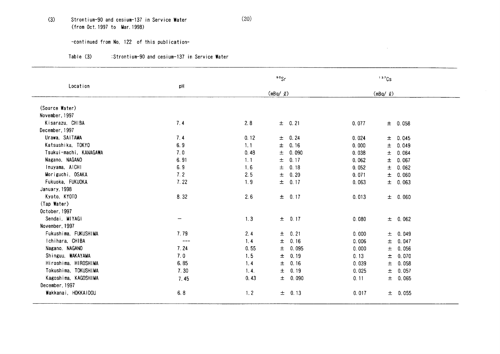## (3) Strontium-90and cesium-137in Service Water (20) (from Oct. 1997 to Mar. 1998)

### -COntinued from No,122 0f this publication-

| Table (3)<br>:Strontium-90 and cesium-137 in Service Water |  |  |  |  |  |
|------------------------------------------------------------|--|--|--|--|--|
|------------------------------------------------------------|--|--|--|--|--|

| Location               |       |      | $90$ Sr        |       | 137Cs          |  |
|------------------------|-------|------|----------------|-------|----------------|--|
|                        | pH    |      | $(mBq/$ $Q)$   |       | $(mBq/$ $Q)$   |  |
| (Source Water)         |       |      |                |       |                |  |
| November, 1997         |       |      |                |       |                |  |
| Kisarazu, CHIBA        | 7.4   | 2.8  | $\pm$ 0.21     | 0.077 | ± 0.058        |  |
| December, 1997         |       |      |                |       |                |  |
| Urawa, SAITAMA         | 7.4   | 0.12 | 0.24<br>士      | 0.024 | ± 0.045        |  |
| Katsushika, TOKYO      | 6.9   | 1.1  | 0.16<br>土      | 0.000 | $\pm$<br>0.049 |  |
| Tsukui-machi, KANAGAWA | 7.0   | 0.48 | 0.090<br>土     | 0.038 | 0.064<br>$\pm$ |  |
| Nagano, NAGANO         | 6.91  | 1.1  | 0.17<br>土      | 0.062 | 0.067<br>土     |  |
| Inuyama, AICHI         | 6.9   | 1.6  | 土<br>0.18      | 0.052 | 土<br>0.062     |  |
| Moriguchi, OSAKA       | 7.2   | 2.5  | $\pm$<br>0.20  | 0.071 | 0.060<br>土     |  |
| Fukuoka, FUKUOKA       | 7.22  | 1.9  | 土<br>0.17      | 0.063 | ± 0.063        |  |
| January, 1998          |       |      |                |       |                |  |
| Kyoto, KYOTO           | 8.32  | 2.6  | $\pm$<br>0.17  | 0.013 | $±$ 0.060      |  |
| (Tap Water)            |       |      |                |       |                |  |
| October, 1997          |       |      |                |       |                |  |
| Sendai, MIYAGI         |       | 1.3  | $\pm$<br>0.17  | 0.080 | ± 0.062        |  |
| November, 1997         |       |      |                |       |                |  |
| Fukushima, FUKUSHIMA   | 7.79  | 2.4  | 0.21<br>土      | 0.000 | ± 0.049        |  |
| Ichihara, CHIBA        | $---$ | 1.4  | 0.16<br>土      | 0.006 | ± 0.047        |  |
| Nagano, NAGANO         | 7.24  | 0.55 | 0.095<br>土     | 0.000 | 0.056<br>土     |  |
| Shinguu, WAKAYAMA      | 7.0   | 1.5  | $\pm$<br>0.19  | 0.13  | ± 0.070        |  |
| Hiroshima, HIROSHIMA   | 6.85  | 1.4  | 土<br>0.16      | 0.039 | 0.058<br>$\pm$ |  |
| Tokushima, TOKUSHIMA   | 7.30  | 1.4. | 0.19<br>土      | 0.025 | $\pm$<br>0.057 |  |
| Kagoshima, KAGOSHIMA   | 7.45  | 0.43 | 0.090<br>$\pm$ | 0.11  | ± 0.065        |  |
| December, 1997         |       |      |                |       |                |  |
| Wakkanai, HOKKAIDOU    | 6.8   | 1.2  | 0.13<br>士      | 0.017 | ± 0.055        |  |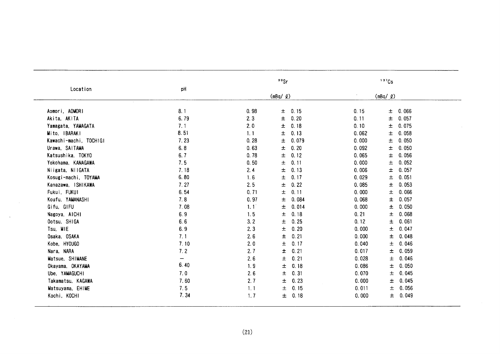| Location               |                   | 90Sr<br>$(mBq/$ $Q)$ |               | $137$ Cs                |  |
|------------------------|-------------------|----------------------|---------------|-------------------------|--|
|                        | pH                |                      |               | (mBq / g)               |  |
| Aomori, AOMORI         | 8.1               | 0.98                 | 0.15<br>$\pm$ | 0.066<br>0.15<br>±      |  |
| Akita, AKITA           | 6.79              | 2.3                  | 0.20<br>土     | 0.057<br>0.11<br>$\pm$  |  |
| Yamagata, YAMAGATA     | 7.1               | 2.0                  | 土<br>0.18     | 0.075<br>0.10<br>土      |  |
| Mito, IBARAKI          | 8.51              | 1.1                  | $\pm$<br>0.13 | $\pm$<br>0.058<br>0.062 |  |
| Kawachi-machi, TOCHIGI | 7.23              | 0.28                 | 土<br>0.079    | $\pm$<br>0.050<br>0.000 |  |
| Urawa, SAITAMA         | 6.8               | 0.63                 | 0.20<br>土     | 0.092<br>0.050<br>$\pm$ |  |
| Katsushika, TOKYO      | 6.7               | 0.78                 | 土<br>0.12     | 0.056<br>0.065<br>±     |  |
| Yokohama, KANAGAWA     | 7.5               | 0.50                 | 0.11<br>土     | 0.052<br>0.000<br>土     |  |
| Niigata, NIIGATA       | 7.18              | 2.4                  | 0.13<br>土     | 0.057<br>0.006<br>土     |  |
| Kosugi-machi, TOYAMA   | 6.80              | 1.6                  | 土<br>0.17     | 0.051<br>0.029<br>土     |  |
| Kanazawa, ISHIKAWA     | 7.27              | 2.5                  | 土<br>0.22     | 0.053<br>0.085<br>$\pm$ |  |
| Fukui, FUKUI           | 6.54              | 0.71                 | 0.11<br>土     | 0.000<br>0.066<br>土     |  |
| Koufu, YAMANASHI       | 7.8               | 0.97                 | 0.084<br>土    | 0.068<br>0.057<br>土     |  |
| Gifu, GIFU             | 7.08              | 1.1                  | 0.014<br>土    | 0.000<br>0.050<br>土     |  |
| Nagoya, AICHI          | 6.9               | 1.5                  | 0.18<br>土     | 0.21<br>0.068<br>土      |  |
| Ootsu, SHIGA           | 6.6               | 3.2                  | 0.25<br>土     | 0.12<br>0.061<br>$\pm$  |  |
| Tsu, MIE               | 6.9               | 2.3                  | 0.20<br>$\pm$ | 0.000<br>0.047<br>土     |  |
| Osaka, OSAKA           | 7.1               | 2.6                  | 0.21<br>土     | 0.000<br>0.048<br>土     |  |
| Kobe, HYOUGO           | 7.10              | 2.0                  | 0.17<br>土     | 0.046<br>0.040<br>土     |  |
| Nara, NARA             | 7.2               | 2.7                  | 0.21<br>土     | 0.017<br>0.059<br>土     |  |
| Matsue, SHIMANE        | $\qquad \qquad -$ | 2.6                  | 土<br>0.21     | 0.028<br>0.046<br>土     |  |
| Okayama, OKAYAMA       | 6.40              | 1.9                  | 0.18<br>士     | 0.050<br>0.086<br>$\pm$ |  |
| Ube, YAMAGUCHI         | 7.0               | 2.6                  | 0.31<br>土     | 0.045<br>0.070<br>土     |  |
| Takamatsu, KAGAWA      | 7.60              | 2.7                  | 0.23<br>土     | 0.045<br>0.000<br>土     |  |
| Matsuyama, EHIME       | 7.5               | 1.1                  | 0.15<br>土     | 0.056<br>0.011<br>土     |  |
| Kochi, KOCHI           | 7.34              | 1.7                  | 0.18<br>士     | 0.049<br>0.000<br>土     |  |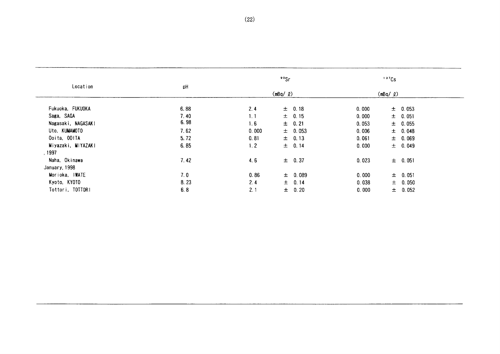| Location           |      | 90 <sub>Sr</sub> |                   | $137$ Cs |                   |  |
|--------------------|------|------------------|-------------------|----------|-------------------|--|
|                    | pH   |                  | $(mBq / \varrho)$ |          | $(mBq / \varrho)$ |  |
| Fukuoka, FUKUOKA   | 6.88 | 2.4              | $\pm$ 0.18        | 0.000    | $\pm$ 0.053       |  |
| Saga, SAGA         | 7.40 | 1.1              | $±$ 0.15          | 0.000    | ± 0.051           |  |
| Nagasaki, NAGASAKI | 6.98 | 1.6              | $\pm$ 0.21        | 0.053    | $\pm$ 0.055       |  |
| Uto, KUMAMOTO      | 7.62 | 0.000            | $\pm$ 0.053       | 0.006    | ± 0.048           |  |
| Ooita, OOITA       | 5.72 | 0.81             | $\pm$ 0.13        | 0.061    | $\pm$ 0.069       |  |
| Miyazaki, MIYAZAKI | 6.85 | 1.2              | $±$ 0.14          | 0.000    | $\pm$ 0.049       |  |
| , 1997             |      |                  |                   |          |                   |  |
| Naha, Okinawa      | 7.42 | 4.6              | $\pm$ 0.37        | 0.023    | $\pm$ 0.051       |  |
| January, 1998      |      |                  |                   |          |                   |  |
| Morioka, IWATE     | 7.0  | 0.86             | ± 0.089           | 0.000    | $\pm$ 0.051       |  |
| Kyoto, KYOTO       | 8.23 | 2.4              | ± 0.14            | 0.038    | $\pm$ 0.050       |  |
| Tottori, TOTTORI   | 6.8  | 2.1              | $\pm$ 0.20        | 0.000    | $±$ 0.052         |  |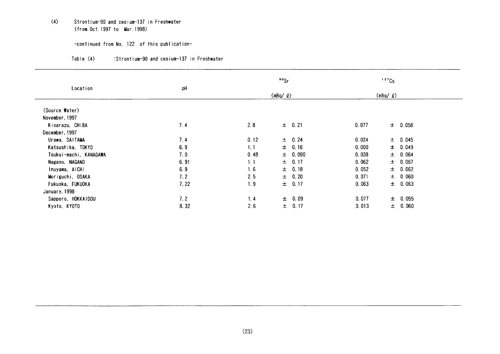## (4) Strontium-90 and cesium-137 in Freshwater (from Oct. 1997 to Mar. 1998)

#### -COntinued from No,122 0f this publication-

| Table (4) | :Strontium-90 and cesium-137 in Freshwater |  |  |
|-----------|--------------------------------------------|--|--|

| <b>Section</b><br>Location |      | $90$ Sr |             | $137$ Cs          |             |
|----------------------------|------|---------|-------------|-------------------|-------------|
|                            | pH   |         | (mBq / q)   | $(mBq / \varrho)$ |             |
| (Source Water)             |      |         |             |                   |             |
| November, 1997             |      |         |             |                   |             |
| Kisarazu, CHIBA            | 7.4  | 2.8     | $\pm$ 0.21  | 0.077             | $\pm$ 0.058 |
| December, 1997             |      |         |             |                   |             |
| Urawa, SAITAMA             | 7.4  | 0.12    | ± 0.24      | 0.024             | $\pm$ 0.045 |
| Katsushika, TOKYO          | 6.9  | 1, 1    | $\pm$ 0.16  | 0.000             | ± 0.049     |
| Tsukui-machi, KANAGAWA     | 7.0  | 0.48    | $\pm$ 0.090 | 0.038             | ± 0.064     |
| Nagano, NAGANO             | 6.91 | 1.1     | 0.17<br>土   | 0.062             | ± 0.067     |
| Inuyama, AICHI             | 6.9  | 1.6     | $±$ 0.18    | 0.052             | ± 0.062     |
| Moriguchi, OSAKA           | 7.2  | 2.5     | $\pm$ 0.20  | 0.071             | $\pm$ 0.060 |
| Fukuoka, FUKUOKA           | 7.22 | 1.9     | ± 0.17      | 0.063             | $\pm$ 0.063 |
| January, 1998              |      |         |             |                   |             |
| Sapporo, HOKKAIDOU         | 7.2  | 1.4     | $\pm$ 0.09  | 0.077             | ± 0.055     |
| Kyoto, KYOTO               | 8.32 | 2.6     | ± 0.17      | 0.013             | ± 0.060     |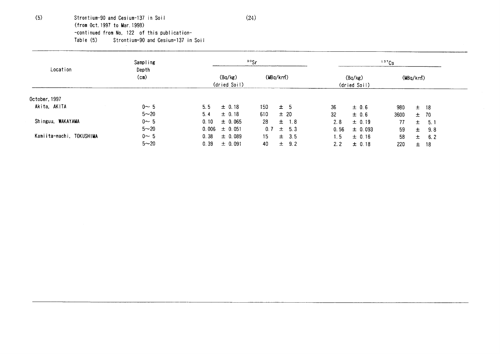(5) Strontium-90 and Cesium-137 in Soil  $(24)$ (from Oct. 1997 to Mar. 1998) -COntinued from No,122 0f this publication- Table (5) Strontium-90 and Cesium-137 in Soil

| Location                 | Sampling         | $90$ Sr                 |                        | 137Cs                   |                     |  |
|--------------------------|------------------|-------------------------|------------------------|-------------------------|---------------------|--|
|                          | Depth<br>$(c_m)$ | (Bq/kg)<br>(dried Soil) | (MBq/km <sup>2</sup> ) | (Bq/kg)<br>(dried Soil) | $(MBq/km^2)$        |  |
| October, 1997            |                  |                         |                        |                         |                     |  |
| Akita, AKITA             | $0 \sim 5$       | 5.5<br>$\pm$ 0.18       | 150<br>± 5             | 36<br>$\pm$ 0.6         | 980<br>18<br>土      |  |
|                          | $5 - 20$         | 5.4<br>$\pm$ 0.18       | 610<br>± 20            | 32<br>± 0.6             | 3600<br>70<br>$\pm$ |  |
| Shinguu, WAKAYAMA        | $0 \sim 5$       | 0, 10<br>$\pm$ 0.065    | 28<br>$\pm$ 1.8        | 2.8<br>$\pm$ 0.19       | 77<br>5.1<br>土      |  |
|                          | $5 - 20$         | 0.006<br>$\pm$ 0.051    | 0.7<br>$\pm$ 5.3       | 0.56<br>$\pm$ 0.093     | 59<br>9.8<br>$\pm$  |  |
| Kamiita-machi, TOKUSHIMA | $0 \sim 5$       | 0.38<br>± 0.089         | 15<br>$\pm$ 3.5        | 1.5<br>$\pm$ 0.16       | 58<br>土<br>6.2      |  |
|                          | $5 - 20$         | 0.39<br>± 0.091         | 40<br>$\pm$ 9.2        | 2.2<br>± 0.18           | 220<br>18<br>$\pm$  |  |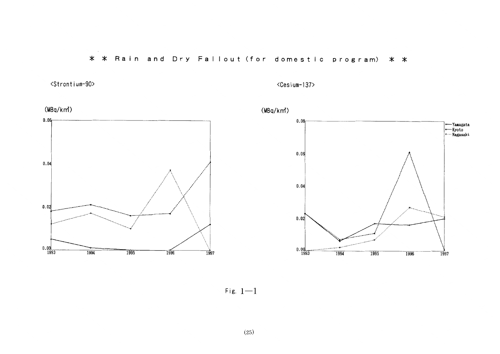# \* \* Rain and Dry Fallout (for domestic program) \* \*

<Strontium-90>

<Cesium-137>



Fig.  $1-1$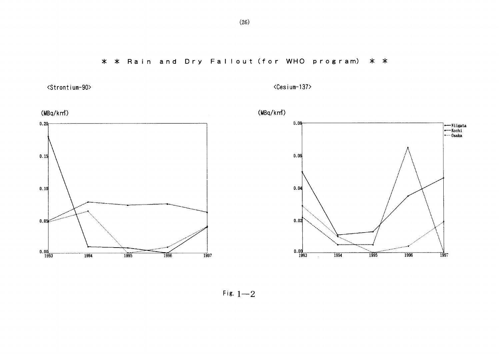<Strontium-90>

<Cesium-137>



Fig.  $1-2$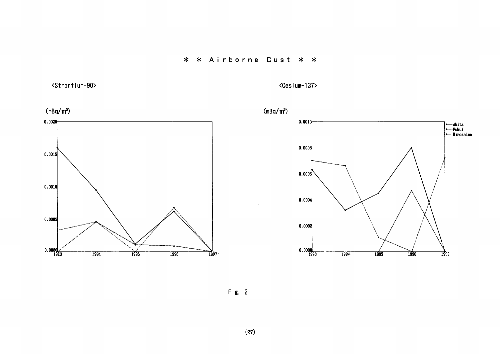## \* \* Airborne Dust \* \*

<Strontium-90>

<Cesium-137>



Fig. 2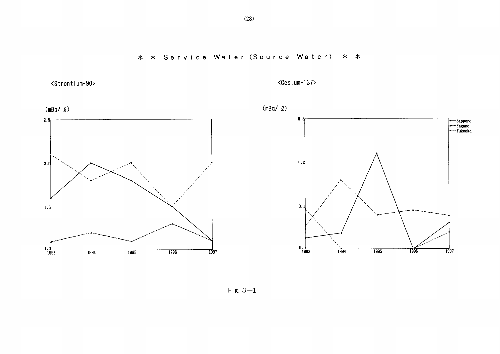<Strontium-90>

<Cesium-137>



Fig.  $3-1$ 

 $(28)$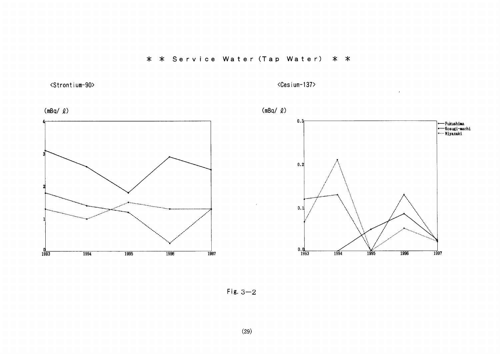# \* \* Service Water (Tap Water) \* \*

<Strontium-90>

<Cesium-137>

 $\mathcal{L}^{\pm}$ 



 $Fix. 3-2$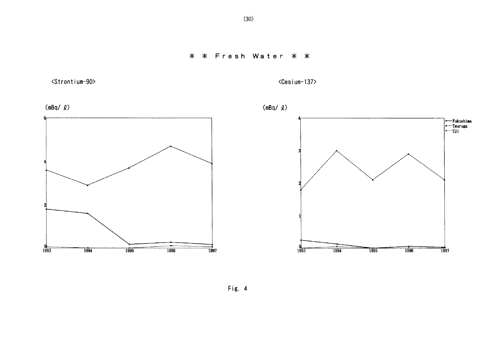<Strontium-90>

<Cesium-137>



Fig. 4

 $(30)$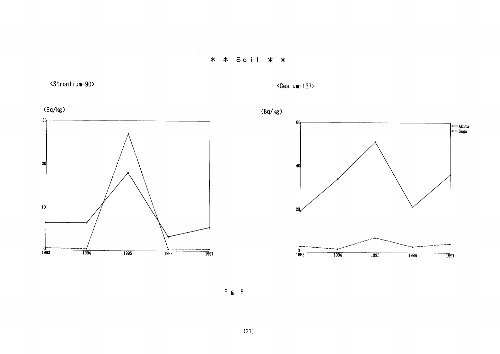

 $\sim$ 

<Strontium-90>

 $\langle$ Cesium-137>







Fig. 5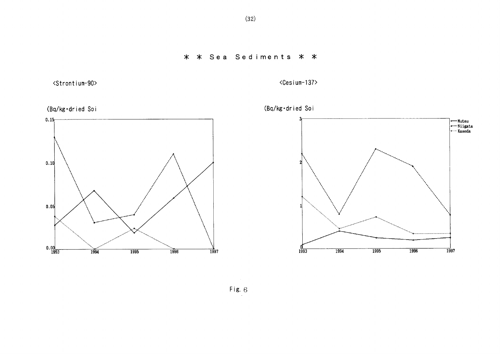\* \* Sea Sediments \* \*

<Strontium-90>

<Cesium-137>





Fig.  $6$ 

 $(32)$